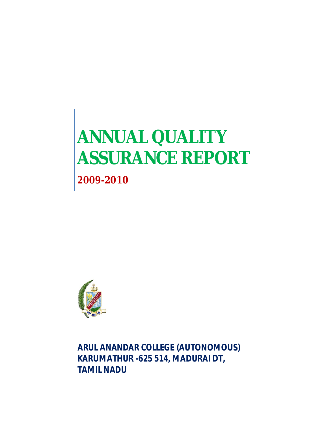# **ANNUAL QUALITY ASSURANCE REPORT**

**2009-2010**



**ARUL ANANDAR COLLEGE (AUTONOMOUS) KARUMATHUR -625 514, MADURAI DT, TAMIL NADU**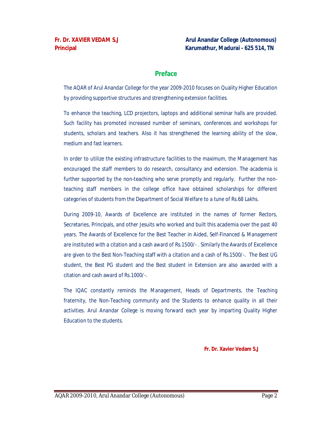# **Preface**

The AQAR of Arul Anandar College for the year 2009-2010 focuses on Quality Higher Education by providing supportive structures and strengthening extension facilities.

To enhance the teaching, LCD projectors, laptops and additional seminar halls are provided. Such facility has promoted increased number of seminars, conferences and workshops for students, scholars and teachers. Also it has strengthened the learning ability of the slow, medium and fast learners.

In order to utilize the existing infrastructure facilities to the maximum, the Management has encouraged the staff members to do research, consultancy and extension. The academia is further supported by the non-teaching who serve promptly and regularly. Further the nonteaching staff members in the college office have obtained scholarships for different categories of students from the Department of Social Welfare to a tune of Rs.68 Lakhs.

During 2009-10, Awards of Excellence are instituted in the names of former Rectors, Secretaries, Principals, and other Jesuits who worked and built this academia over the past 40 years. The Awards of Excellence for the Best Teacher in Aided, Self-Financed & Management are instituted with a citation and a cash award of Rs.1500/- . Similarly the Awards of Excellence are given to the Best Non-Teaching staff with a citation and a cash of Rs.1500/-. The Best UG student, the Best PG student and the Best student in Extension are also awarded with a citation and cash award of Rs.1000/-.

The IQAC constantly reminds the Management, Heads of Departments, the Teaching fraternity, the Non-Teaching community and the Students to enhance quality in all their activities. Arul Anandar College is moving forward each year by imparting Quality Higher Education to the students.

 **Fr. Dr. Xavier Vedam S.J**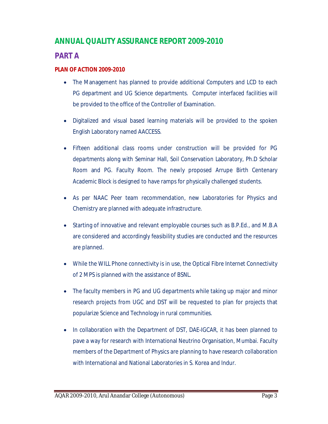# **ANNUAL QUALITY ASSURANCE REPORT 2009-2010**

# **PART A**

# **PLAN OF ACTION 2009-2010**

- The Management has planned to provide additional Computers and LCD to each PG department and UG Science departments. Computer interfaced facilities will be provided to the office of the Controller of Examination.
- Digitalized and visual based learning materials will be provided to the spoken English Laboratory named AACCESS.
- Fifteen additional class rooms under construction will be provided for PG departments along with Seminar Hall, Soil Conservation Laboratory, Ph.D Scholar Room and PG. Faculty Room. The newly proposed Arrupe Birth Centenary Academic Block is designed to have ramps for physically challenged students.
- As per NAAC Peer team recommendation, new Laboratories for Physics and Chemistry are planned with adequate infrastructure.
- Starting of innovative and relevant employable courses such as B.P.Ed., and M.B.A are considered and accordingly feasibility studies are conducted and the resources are planned.
- While the WILL Phone connectivity is in use, the Optical Fibre Internet Connectivity of 2 MPS is planned with the assistance of BSNL.
- The faculty members in PG and UG departments while taking up major and minor research projects from UGC and DST will be requested to plan for projects that popularize Science and Technology in rural communities.
- In collaboration with the Department of DST, DAE-IGCAR, it has been planned to pave a way for research with International Neutrino Organisation, Mumbai. Faculty members of the Department of Physics are planning to have research collaboration with International and National Laboratories in S. Korea and Indur.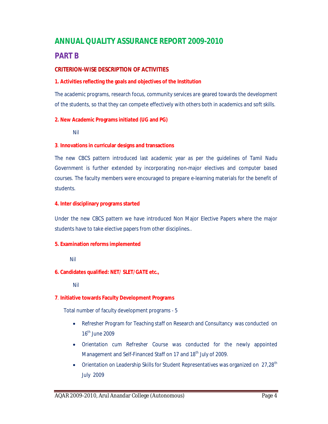# **ANNUAL QUALITY ASSURANCE REPORT 2009-2010**

# **PART B**

#### **CRITERION-WISE DESCRIPTION OF ACTIVITIES**

#### **1. Activities reflecting the goals and objectives of the Institution**

The academic programs, research focus, community services are geared towards the development of the students, so that they can compete effectively with others both in academics and soft skills.

#### **2. New Academic Programs initiated (UG and PG)**

Nil

#### **3**. **Innovations in curricular designs and transactions**

The new CBCS pattern introduced last academic year as per the guidelines of Tamil Nadu Government is further extended by incorporating non-major electives and computer based courses. The faculty members were encouraged to prepare e-learning materials for the benefit of students.

#### **4. Inter disciplinary programs started**

Under the new CBCS pattern we have introduced Non Major Elective Papers where the major students have to take elective papers from other disciplines..

#### **5. Examination reforms implemented**

Nil

#### **6. Candidates qualified: NET/ SLET/GATE etc.,**

Nil

#### **7**. **Initiative towards Faculty Development Programs**

Total number of faculty development programs - 5

- Refresher Program for Teaching staff on Research and Consultancy was conducted on 16<sup>th</sup> June 2009
- Orientation cum Refresher Course was conducted for the newly appointed Management and Self-Financed Staff on 17 and 18<sup>th</sup> July of 2009.
- Orientation on Leadership Skills for Student Representatives was organized on 27,28<sup>th</sup> July 2009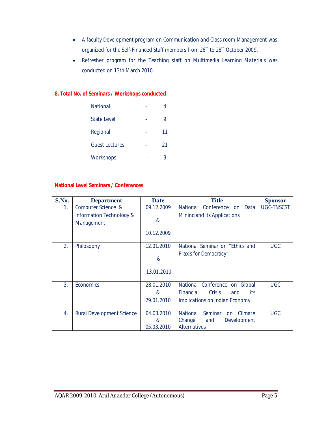- A faculty Development program on Communication and Class room Management was organized for the Self-Financed Staff members from 26<sup>th</sup> to 28<sup>th</sup> October 2009.
- Refresher program for the Teaching staff on Multimedia Learning Materials was conducted on 13th March 2010.

#### **8. Total No. of Seminars / Workshops conducted**

| National         |    |
|------------------|----|
| State Level      | 9  |
| Regional         | 11 |
| Guest Lectures   | 21 |
| <b>Workshops</b> | 3  |

#### **National Level Seminars / Conferences**

| S.No. | <b>Department</b>                       | <b>Date</b>           | <b>Title</b>                                       | <b>Sponsor</b>    |
|-------|-----------------------------------------|-----------------------|----------------------------------------------------|-------------------|
| 1.    | Computer Science &                      | 09.12.2009            | Conference<br>Data<br><b>National</b><br><b>on</b> | <b>UGC-TNSCST</b> |
|       | Information Technology &<br>Management. | $\boldsymbol{\alpha}$ | Mining and its Applications                        |                   |
|       |                                         | 10.12.2009            |                                                    |                   |
| 2.    | Philosophy                              | 12.01.2010            | National Seminar on "Ethics and                    | <b>UGC</b>        |
|       |                                         | $\alpha$              | Praxis for Democracy"                              |                   |
|       |                                         | 13.01.2010            |                                                    |                   |
| 3.    | Economics                               | 28.01.2010            | National Conference on Global                      | <b>UGC</b>        |
|       |                                         | &                     | <b>Financial</b><br><b>Crisis</b><br>its<br>and    |                   |
|       |                                         | 29.01.2010            | Implications on Indian Economy                     |                   |
| 4.    | <b>Rural Development Science</b>        | 04.03.2010            | <b>National</b><br>Seminar<br>Climate<br>on        | <b>UGC</b>        |
|       |                                         | &                     | Change<br>Development<br>and                       |                   |
|       |                                         | 05.03.2010            | <b>Alternatives</b>                                |                   |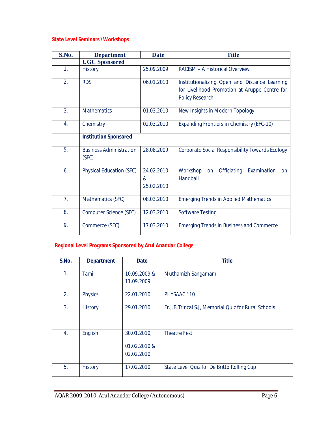# **State Level Seminars /Workshops**

| S.No.            | <b>Department</b>                       | <b>Date</b>                   | <b>Title</b>                                                                                                             |
|------------------|-----------------------------------------|-------------------------------|--------------------------------------------------------------------------------------------------------------------------|
|                  | <b>UGC Sponsored</b>                    |                               |                                                                                                                          |
| 1.               | <b>History</b>                          | 25.09.2009                    | <b>RACISM - A Historical Overview</b>                                                                                    |
| 2.               | <b>RDS</b>                              | 06.01.2010                    | Institutionalizing Open and Distance Learning<br>for Livelihood Promotion at Aruppe Centre for<br><b>Policy Research</b> |
| 3.               | <b>Mathematics</b>                      | 01.03.2010                    | New Insights in Modern Topology                                                                                          |
| $\overline{4}$ . | Chemistry                               | 02.03.2010                    | <b>Expanding Frontiers in Chemistry (EFC-10)</b>                                                                         |
|                  | <b>Institution Sponsored</b>            |                               |                                                                                                                          |
| 5.               | <b>Business Administration</b><br>(SFC) | 28.08.2009                    | <b>Corporate Social Responsibility Towards Ecology</b>                                                                   |
| 6.               | <b>Physical Education (SFC)</b>         | 24.02.2010<br>&<br>25.02.2010 | Examination<br>Workshop<br>Officiating<br>on<br><b>on</b><br>Handball                                                    |
| 7.               | Mathematics (SFC)                       | 08.03.2010                    | <b>Emerging Trends in Applied Mathematics</b>                                                                            |
| 8.               | Computer Science (SFC)                  | 12.03.2010                    | <b>Software Testing</b>                                                                                                  |
| 9.               | Commerce (SFC)                          | 17.03.2010                    | <b>Emerging Trends in Business and Commerce</b>                                                                          |

# **Regional Level Programs Sponsored by Arul Anandar College**

| S.No. | <b>Department</b> | <b>Date</b>  | <b>Title</b>                                        |
|-------|-------------------|--------------|-----------------------------------------------------|
|       |                   |              |                                                     |
| 1.    | Tamil             | 10.09.2009 & | Muthamizh Sangamam                                  |
|       |                   | 11.09.2009   |                                                     |
|       |                   |              |                                                     |
| 2.    | <b>Physics</b>    | 22.01.2010   | PHYSAAC ' 10                                        |
| 3.    |                   |              |                                                     |
|       | History           | 29.01.2010   | Fr.J.B.Trincal S.J. Memorial Quiz for Rural Schools |
|       |                   |              |                                                     |
|       |                   |              |                                                     |
| 4.    | English           | 30.01.2010,  | <b>Theatre Fest</b>                                 |
|       |                   |              |                                                     |
|       |                   | 01.02.2010 & |                                                     |
|       |                   | 02.02.2010   |                                                     |
|       |                   |              |                                                     |
| 5.    | <b>History</b>    | 17.02.2010   | State Level Quiz for De Britto Rolling Cup          |
|       |                   |              |                                                     |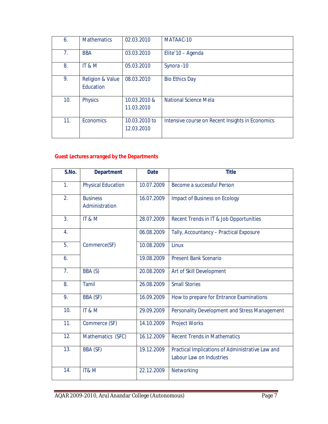| 6.  | <b>Mathematics</b>                       | 02.03.2010                  | MATAAC-10                                        |
|-----|------------------------------------------|-----------------------------|--------------------------------------------------|
| 7.  | <b>BBA</b>                               | 03.03.2010                  | Elite'10 - Agenda                                |
| 8.  | IT&M                                     | 05.03.2010                  | Synora -10                                       |
| 9.  | <b>Religion &amp; Value</b><br>Education | 08.03.2010                  | <b>Bio Ethics Day</b>                            |
| 10. | <b>Physics</b>                           | 10.03.2010 &<br>11.03.2010  | <b>National Science Mela</b>                     |
| 11. | Economics                                | 10.03.2010 to<br>12.03.2010 | Intensive course on Recent Insights in Economics |

# **Guest Lectures arranged by the Departments**

| S.No.             | <b>Department</b>                 | <b>Date</b> | <b>Title</b>                                                                 |
|-------------------|-----------------------------------|-------------|------------------------------------------------------------------------------|
| 1 <sub>1</sub>    | <b>Physical Education</b>         | 10.07.2009  | Become a successful Person                                                   |
| 2.                | <b>Business</b><br>Administration | 16.07.2009  | Impact of Business on Ecology                                                |
| 3.                | IT&M                              | 28.07.2009  | Recent Trends in IT & Job Opportunities                                      |
| 4.                |                                   | 06.08.2009  | Tally, Accountancy - Practical Exposure                                      |
| 5.                | Commerce(SF)                      | 10.08.2009  | Linux                                                                        |
| 6.                |                                   | 19.08.2009  | <b>Present Bank Scenario</b>                                                 |
| 7.                | BBA (S)                           | 20.08.2009  | Art of Skill Development                                                     |
| 8.                | Tamil                             | 26.08.2009  | <b>Small Stories</b>                                                         |
| 9.                | BBA (SF)                          | 16.09.2009  | How to prepare for Entrance Examinations                                     |
| 10.               | IT&M                              | 29.09.2009  | Personality Development and Stress Management                                |
| 11.               | Commerce (SF)                     | 14.10.2009  | <b>Project Works</b>                                                         |
| $\overline{12}$ . | Mathematics (SFC)                 | 16.12.2009  | <b>Recent Trends in Mathematics</b>                                          |
| 13.               | BBA (SF)                          | 19.12.2009  | Practical Implications of Administrative Law and<br>Labour Law on Industries |
| 14.               | IT&M                              | 22.12.2009  | Networking                                                                   |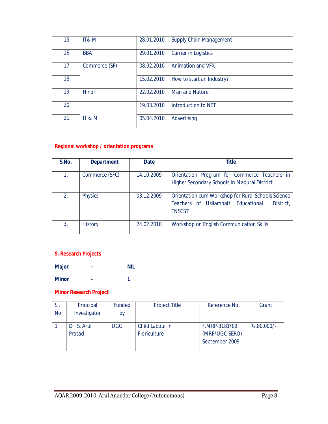| 15. | IT& M         | 28.01.2010 | <b>Supply Chain Management</b> |
|-----|---------------|------------|--------------------------------|
| 16. | <b>BBA</b>    | 29.01.2010 | <b>Carrier in Logistics</b>    |
| 17. | Commerce (SF) | 08.02.2010 | <b>Animation and VFX</b>       |
| 18. |               | 15.02.2010 | How to start an Industry?      |
| 19. | Hindi         | 22.02.2010 | <b>Man and Nature</b>          |
| 20. |               | 19.03.2010 | Introduction to NET            |
| 21. | IT & M        | 05.04.2010 | Advertising                    |
|     |               |            |                                |

# **Regional workshop / orientation programs**

| S.No. | <b>Department</b> | <b>Date</b> | <b>Title</b>                                                                                                            |
|-------|-------------------|-------------|-------------------------------------------------------------------------------------------------------------------------|
| 1.    | Commerce (SFC)    | 14.10.2009  | Orientation Program for Commerce Teachers in<br>Higher Secondary Schools in Madurai District                            |
| 2.    | <b>Physics</b>    | 03.12.2009  | Orientation cum Workshop for Rural Schools Science<br>Teachers of Usilampatti Educational<br>District,<br><b>TNSCST</b> |
| 3.    | <b>History</b>    | 24.02.2010  | Workshop on English Communication Skills                                                                                |

# **9. Research Projects**

**Major - NIL**

**Minor - 1**

# **Minor Research Project**

| SI. | Principal    | Funded     | <b>Project Title</b> | Reference No.  | Grant       |
|-----|--------------|------------|----------------------|----------------|-------------|
| No. | Investigator | by         |                      |                |             |
|     |              |            |                      |                |             |
|     | Dr. S. Arul  | <b>UGC</b> | Child Labour in      | F.MRP-3181/09  | Rs.80,000/- |
|     | Prasad       |            | Floriculture         | (MRP/UGC-SERO) |             |
|     |              |            |                      | September 2009 |             |
|     |              |            |                      |                |             |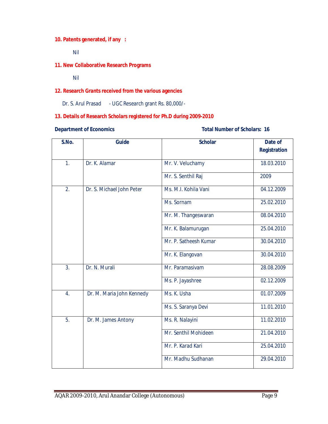## **10. Patents generated, if any :**

Nil

#### **11. New Collaborative Research Programs**

Nil

#### **12. Research Grants received from the various agencies**

Dr. S. Arul Prasad - UGC Research grant Rs. 80,000/-

### **13. Details of Research Scholars registered for Ph.D during 2009-2010**

#### **Department of Economics Conomics Conomics Conomics Conomics Conomics Conomics Conomics Conomics Conomics Conomics Conomics Conomics Conomics Conomics Conomics Conomics Conomics Conomics**

| S.No.          | <b>Guide</b>              | <b>Scholar</b>        | Date of             |
|----------------|---------------------------|-----------------------|---------------------|
|                |                           |                       | <b>Registration</b> |
| $\mathbf{1}$ . | Dr. K. Alamar             | Mr. V. Veluchamy      | 18.03.2010          |
|                |                           | Mr. S. Senthil Raj    | 2009                |
| 2.             | Dr. S. Michael John Peter | Ms. M.I. Kohila Vani  | 04.12.2009          |
|                |                           | Ms. Sornam            | 25.02.2010          |
|                |                           | Mr. M. Thangeswaran   | 08.04.2010          |
|                |                           | Mr. K. Balamurugan    | 25.04.2010          |
|                |                           | Mr. P. Satheesh Kumar | 30.04.2010          |
|                |                           | Mr. K. Elangovan      | 30.04.2010          |
| 3 <sub>1</sub> | Dr. N. Murali             | Mr. Paramasivam       | 28.08.2009          |
|                |                           | Ms. P. Jayashree      | 02.12.2009          |
| 4.             | Dr. M. Maria John Kennedy | Ms. K. Usha           | 01.07.2009          |
|                |                           | Ms. S. Saranya Devi   | 11.01.2010          |
| 5.             | Dr. M. James Antony       | Ms. R. Nalayini       | 11.02.2010          |
|                |                           | Mr. Senthil Mohideen  | 21.04.2010          |
|                |                           | Mr. P. Karad Kari     | 25.04.2010          |
|                |                           | Mr. Madhu Sudhanan    | 29.04.2010          |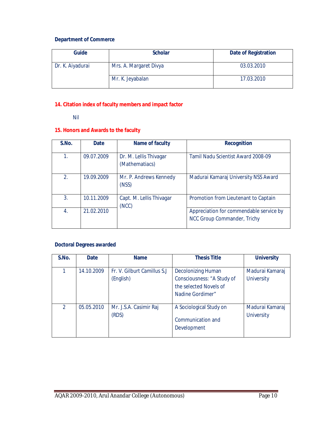# **Department of Commerce**

| Guide            | <b>Scholar</b>         | <b>Date of Registration</b> |
|------------------|------------------------|-----------------------------|
| Dr. K. Aiyadurai | Mrs. A. Margaret Divya | 03.03.2010                  |
|                  | Mr. K. Jeyabalan       | 17.03.2010                  |

# **14. Citation index of faculty members and impact factor**

Nil

#### **15. Honors and Awards to the faculty**

| S.No. | <b>Date</b> | Name of faculty                          | <b>Recognition</b>                                                     |
|-------|-------------|------------------------------------------|------------------------------------------------------------------------|
| 1.    | 09.07.2009  | Dr. M. Lellis Thivagar<br>(Mathematiacs) | Tamil Nadu Scientist Award 2008-09                                     |
| 2.    | 19.09.2009  | Mr. P. Andrews Kennedy<br>(NSS)          | Madurai Kamaraj University NSS Award                                   |
| 3.    | 10.11.2009  | Capt. M. Lellis Thivagar<br>(NCC)        | Promotion from Lieutenant to Captain                                   |
| 4.    | 21.02.2010  |                                          | Appreciation for commendable service by<br>NCC Group Commander, Trichy |

### **Doctoral Degrees awarded**

| S.No.         | <b>Date</b> | <b>Name</b>                               | <b>Thesis Title</b>                                                                                   | <b>University</b>                    |
|---------------|-------------|-------------------------------------------|-------------------------------------------------------------------------------------------------------|--------------------------------------|
|               | 14.10.2009  | Fr. V. Gilburt Camillus S.J.<br>(English) | <b>Decolonizing Human</b><br>Consciousness: "A Study of<br>the selected Novels of<br>Nadine Gordimer" | Madurai Kamaraj<br><b>University</b> |
| $\mathcal{P}$ | 05.05.2010  | Mr. J.S.A. Casimir Raj<br>(RDS)           | A Sociological Study on<br>Communication and<br>Development                                           | Madurai Kamaraj<br><b>University</b> |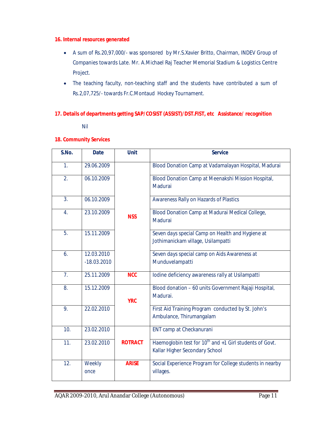#### **16. Internal resources generated**

- A sum of Rs.20,97,000/- was sponsored by Mr.S.Xavier Britto, Chairman, INDEV Group of Companies towards Late. Mr. A.Michael Raj Teacher Memorial Stadium & Logistics Centre Project.
- The teaching faculty, non-teaching staff and the students have contributed a sum of Rs.2,07,725/- towards Fr.C.Montaud Hockey Tournament.

#### **17. Details of departments getting SAP/COSIST (ASSIST)/DST.FIST, etc Assistance/ recognition**

Nil

#### **18. Community Services**

| S.No.            | <b>Date</b>                 | <b>Unit</b>    | <b>Service</b>                                                                                        |
|------------------|-----------------------------|----------------|-------------------------------------------------------------------------------------------------------|
| 1 <sub>1</sub>   | 29.06.2009                  |                | Blood Donation Camp at Vadamalayan Hospital, Madurai                                                  |
| 2.               | 06.10.2009                  |                | Blood Donation Camp at Meenakshi Mission Hospital,<br>Madurai                                         |
| $\overline{3}$ . | 06.10.2009                  |                | Awareness Rally on Hazards of Plastics                                                                |
| 4.               | 23.10.2009                  | <b>NSS</b>     | Blood Donation Camp at Madurai Medical College,<br>Madurai                                            |
| 5.               | 15.11.2009                  |                | Seven days special Camp on Health and Hygiene at<br>Jothimanickam village, Usilampatti                |
| 6.               | 12.03.2010<br>$-18.03.2010$ |                | Seven days special camp on Aids Awareness at<br>Munduvelampatti                                       |
| 7 <sub>1</sub>   | 25.11.2009                  | <b>NCC</b>     | Iodine deficiency awareness rally at Usilampatti                                                      |
| 8.               | 15.12.2009                  | <b>YRC</b>     | Blood donation - 60 units Government Rajaji Hospital,<br>Madurai.                                     |
| 9.               | 22.02.2010                  |                | First Aid Training Program conducted by St. John's<br>Ambulance, Thirumangalam                        |
| 10.              | 23.02.2010                  |                | ENT camp at Checkanurani                                                                              |
| 11.              | 23.02.2010                  | <b>ROTRACT</b> | Haemoglobin test for 10 <sup>th</sup> and +1 Girl students of Govt.<br>Kallar Higher Secondary School |
| 12.              | Weekly<br>once              | <b>ARISE</b>   | Social Experience Program for College students in nearby<br>villages.                                 |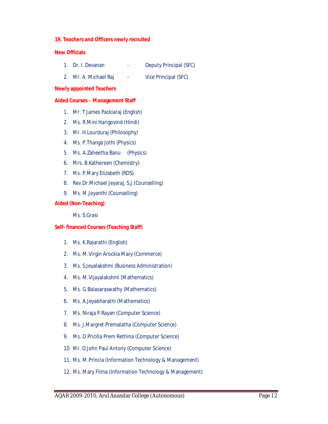#### **19. Teachers and Officers newly recruited**

#### **New Officials**

- 1. Dr. I. Devanan Deputy Principal (SFC)
- 2. Mr. A. Michael Raj Vice Principal (SFC)

#### **Newly appointed Teachers**

#### **Aided Courses – Management Staff**

- 1. Mr. T.James Packiaraj (English)
- 2. Ms. R.Mini Harigovind (Hindi)
- 3. Mr. H.Lourduraj (Philosophy)
- 4. Ms. P.Thanga Jothi (Physics)
- 5. Ms. A.Zaheetha Banu (Physics)
- 6. Mrs. B.Kathereen (Chemistry)
- 7. Ms. P.Mary Elizabeth (RDS)
- 8. Rev.Dr.Michael Jeyaraj, S.J.(Counselling)
- 9. Ms. M.Jeyanthi (Counselling)

#### **Aided (Non-Teaching)**

Ms. S.Grasi

#### **Self- financed Courses (Teaching Staff)**

- 1. Ms. K.Rajarathi (English)
- 2. Ms. M.Virgin Arockia Mary (Commerce)
- 3. Ms. S.Jeyalakshmi (Business Administration)
- 4. Ms. M.Vijayalakshmi (Mathematics)
- 5. Ms. G.Balasaraswathy (Mathematics)
- 6. Ms. A.Jeyabharathi (Mathematics)
- 7. Ms. Niraja P.Rayan (Computer Science)
- 8. Ms. J.Margret Premalatha (Computer Science)
- 9. Ms. D.Pricilla Prem Rethina (Computer Science)
- 10. Mr. D.John Paul Antony (Computer Science)
- 11. Ms. M.Princia (Information Technology & Management)
- 12. Ms. Mary Filma (Information Technology & Management)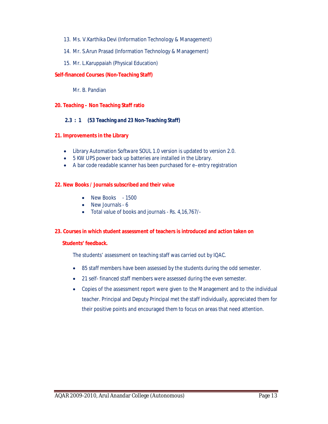- 13. Ms. V.Karthika Devi (Information Technology & Management)
- 14. Mr. S.Arun Prasad (Information Technology & Management)
- 15. Mr. L.Karuppaiah (Physical Education)

#### **Self-financed Courses (Non-Teaching Staff)**

Mr. B. Pandian

#### **20. Teaching – Non Teaching Staff ratio**

#### **2.3 : 1 (53 Teaching and 23 Non-Teaching Staff)**

#### **21. Improvements in the Library**

- Library Automation Software SOUL 1.0 version is updated to version 2.0.
- 5 KW UPS power back up batteries are installed in the Library.
- A bar code readable scanner has been purchased for e–entry registration

#### **22. New Books / Journals subscribed and their value**

- New Books 1500
- New Journals 6
- Total value of books and journals Rs. 4,16,767/-

#### **23. Courses in which student assessment of teachers is introduced and action taken on**

#### **Students' feedback.**

The students' assessment on teaching staff was carried out by IQAC.

- 85 staff members have been assessed by the students during the odd semester.
- 21 self- financed staff members were assessed during the even semester.
- Copies of the assessment report were given to the Management and to the individual teacher. Principal and Deputy Principal met the staff individually, appreciated them for their positive points and encouraged them to focus on areas that need attention.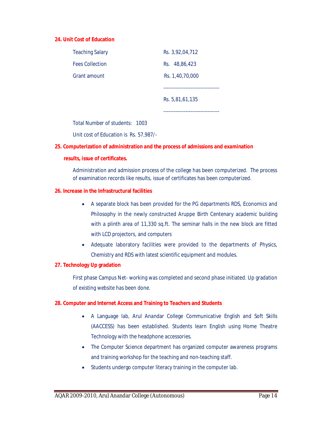#### **24. Unit Cost of Education**

| <b>Teaching Salary</b> | Rs. 3,92,04,712 |
|------------------------|-----------------|
| <b>Fees Collection</b> | Rs. 48,86,423   |
| Grant amount           | Rs. 1,40,70,000 |
|                        |                 |
|                        |                 |
|                        | Rs. 5,81,61,135 |

Total Number of students: 1003

Unit cost of Education is Rs. 57,987/-

#### **25. Computerization of administration and the process of admissions and examination**

#### **results, issue of certificates.**

Administration and admission process of the college has been computerized. The process of examination records like results, issue of certificates has been computerized.

#### **26. Increase in the Infrastructural facilities**

- A separate block has been provided for the PG departments RDS, Economics and Philosophy in the newly constructed Aruppe Birth Centenary academic building with a plinth area of 11,330 sq.ft. The seminar halls in the new block are fitted with LCD projectors, and computers
- Adequate laboratory facilities were provided to the departments of Physics, Chemistry and RDS with latest scientific equipment and modules.

#### **27. Technology Up gradation**

First phase Campus Net- working was completed and second phase initiated. Up gradation of existing website has been done.

#### **28. Computer and Internet Access and Training to Teachers and Students**

- A Language lab, Arul Anandar College Communicative English and Soft Skills (AACCESS) has been established. Students learn English using Home Theatre Technology with the headphone accessories.
- The Computer Science department has organized computer awareness programs and training workshop for the teaching and non-teaching staff.
- Students undergo computer literacy training in the computer lab.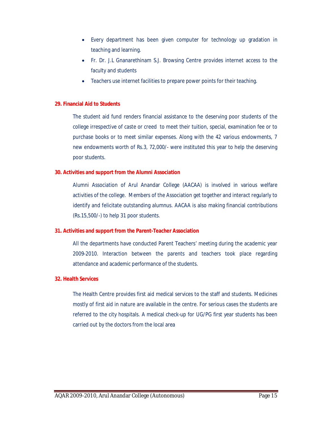- Every department has been given computer for technology up gradation in teaching and learning.
- Fr. Dr. J.L Gnanarethinam S.J. Browsing Centre provides internet access to the faculty and students
- Teachers use internet facilities to prepare power points for their teaching.

#### **29. Financial Aid to Students**

The student aid fund renders financial assistance to the deserving poor students of the college irrespective of caste or creed to meet their tuition, special, examination fee or to purchase books or to meet similar expenses. Along with the 42 various endowments, 7 new endowments worth of Rs.3, 72,000/- were instituted this year to help the deserving poor students.

#### **30. Activities and support from the Alumni Association**

Alumni Association of Arul Anandar College (AACAA) is involved in various welfare activities of the college. Members of the Association get together and interact regularly to identify and felicitate outstanding alumnus. AACAA is also making financial contributions (Rs.15,500/-) to help 31 poor students.

#### **31. Activities and support from the Parent-Teacher Association**

All the departments have conducted Parent Teachers' meeting during the academic year 2009-2010. Interaction between the parents and teachers took place regarding attendance and academic performance of the students.

#### **32. Health Services**

The Health Centre provides first aid medical services to the staff and students. Medicines mostly of first aid in nature are available in the centre. For serious cases the students are referred to the city hospitals. A medical check-up for UG/PG first year students has been carried out by the doctors from the local area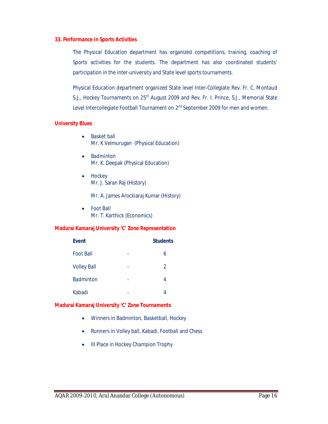#### **33. Performance in Sports Activities**

The Physical Education department has organized competitions, training, coaching of Sports activities for the students. The department has also coordinated students' participation in the inter-university and State level sports tournaments.

Physical Education department organized State level Inter-Collegiate Rev. Fr. C. Montaud S.J., Hockey Tournaments on 25<sup>th</sup> August 2009 and Rev. Fr. I. Prince, S.J., Memorial State Level Intercollegiate Football Tournament on 2<sup>nd</sup> September 2009 for men and women.

#### **University Blues**

- Basket ball Mr. K Velmurugan (Physical Education)
- Badminton Mr. K. Deepak (Physical Education)
- Hockey Mr. J. Saran Raj (History)

Mr. A. James Arockiaraj Kumar (History)

 Foot Ball Mr. T. Karthick (Economics)

#### **Madurai Kamaraj University 'C' Zone Representation**

| <b>Event</b>       |   | <b>Students</b> |
|--------------------|---|-----------------|
| <b>Foot Ball</b>   |   | 6               |
| <b>Volley Ball</b> | - | 2               |
| <b>Badminton</b>   |   | 4               |
| Kabadi             |   |                 |

#### **Madurai Kamaraj University 'C' Zone Tournaments**

- Winners in Badminton, Basketball, Hockey
- Runners in Volley ball, Kabadi, Football and Chess
- III Place in Hockey Champion Trophy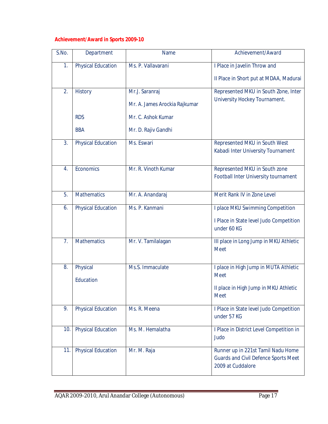# **Achievement/Award in Sports 2009-10**

| S.No.            | Department                | <b>Name</b>                   | Achievement/Award                                                                                      |
|------------------|---------------------------|-------------------------------|--------------------------------------------------------------------------------------------------------|
| 1.               | <b>Physical Education</b> | Ms. P. Vallavarani            | I Place in Javelin Throw and                                                                           |
|                  |                           |                               | Il Place in Short put at MDAA, Madurai                                                                 |
| 2.               | <b>History</b>            | Mr.J. Saranraj                | Represented MKU in South Zone, Inter                                                                   |
|                  |                           | Mr. A. James Arockia Rajkumar | University Hockey Tournament.                                                                          |
|                  | <b>RDS</b>                | Mr. C. Ashok Kumar            |                                                                                                        |
|                  | <b>BBA</b>                | Mr. D. Rajiv Gandhi           |                                                                                                        |
| $\overline{3}$ . | <b>Physical Education</b> | Ms. Eswari                    | Represented MKU in South West                                                                          |
|                  |                           |                               | Kabadi Inter University Tournament                                                                     |
| 4.               | Economics                 | Mr. R. Vinoth Kumar           | Represented MKU in South zone                                                                          |
|                  |                           |                               | Football Inter University tournament                                                                   |
| 5.               | <b>Mathematics</b>        | Mr. A. Anandaraj              | Merit Rank IV in Zone Level                                                                            |
| 6.               | <b>Physical Education</b> | Ms. P. Kanmani                | I place MKU Swimming Competition                                                                       |
|                  |                           |                               | I Place in State level Judo Competition<br>under 60 KG                                                 |
| 7.               | <b>Mathematics</b>        | Mr. V. Tamilalagan            | III place in Long Jump in MKU Athletic<br><b>Meet</b>                                                  |
| 8.               | Physical                  | Ms.S. Immaculate              | I place in High Jump in MUTA Athletic                                                                  |
|                  | Education                 |                               | <b>Meet</b>                                                                                            |
|                  |                           |                               | Il place in High Jump in MKU Athletic<br><b>Meet</b>                                                   |
|                  |                           |                               |                                                                                                        |
| 9.               | <b>Physical Education</b> | Ms. R. Meena                  | I Place in State level Judo Competition<br>under 57 KG                                                 |
| 10.              | <b>Physical Education</b> | Ms. M. Hemalatha              | I Place in District Level Competition in<br>Judo                                                       |
| 11.              | <b>Physical Education</b> | Mr. M. Raja                   | Runner up in 221st Tamil Nadu Home<br><b>Guards and Civil Defence Sports Meet</b><br>2009 at Cuddalore |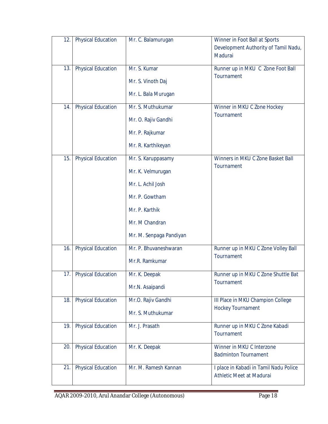| 12. | <b>Physical Education</b> | Mr. C. Balamurugan                                                                                                                            | Winner in Foot Ball at Sports<br>Development Authority of Tamil Nadu,<br>Madurai |
|-----|---------------------------|-----------------------------------------------------------------------------------------------------------------------------------------------|----------------------------------------------------------------------------------|
| 13. | <b>Physical Education</b> | Mr. S. Kumar<br>Mr. S. Vinoth Daj<br>Mr. L. Bala Murugan                                                                                      | Runner up in MKU C Zone Foot Ball<br>Tournament                                  |
| 14. | <b>Physical Education</b> | Mr. S. Muthukumar<br>Mr. O. Rajiv Gandhi<br>Mr. P. Rajkumar<br>Mr. R. Karthikeyan                                                             | Winner in MKU C Zone Hockey<br>Tournament                                        |
| 15. | <b>Physical Education</b> | Mr. S. Karuppasamy<br>Mr. K. Velmurugan<br>Mr. L. Achil Josh<br>Mr. P. Gowtham<br>Mr. P. Karthik<br>Mr. M Chandran<br>Mr. M. Senpaga Pandiyan | Winners in MKU C Zone Basket Ball<br>Tournament                                  |
| 16. | <b>Physical Education</b> | Mr. P. Bhuvaneshwaran<br>Mr.R. Ramkumar                                                                                                       | Runner up in MKU C Zone Volley Ball<br>Tournament                                |
| 17. | <b>Physical Education</b> | Mr. K. Deepak<br>Mr.N. Asaipandi                                                                                                              | Runner up in MKU C Zone Shuttle Bat<br>Tournament                                |
| 18. | <b>Physical Education</b> | Mr.O. Rajiv Gandhi<br>Mr. S. Muthukumar                                                                                                       | III Place in MKU Champion College<br><b>Hockey Tournament</b>                    |
| 19. | <b>Physical Education</b> | Mr. J. Prasath                                                                                                                                | Runner up in MKU C Zone Kabadi<br>Tournament                                     |
| 20. | <b>Physical Education</b> | Mr. K. Deepak                                                                                                                                 | Winner in MKU C Interzone<br><b>Badminton Tournament</b>                         |
| 21. | <b>Physical Education</b> | Mr. M. Ramesh Kannan                                                                                                                          | I place in Kabadi in Tamil Nadu Police<br>Athletic Meet at Madurai               |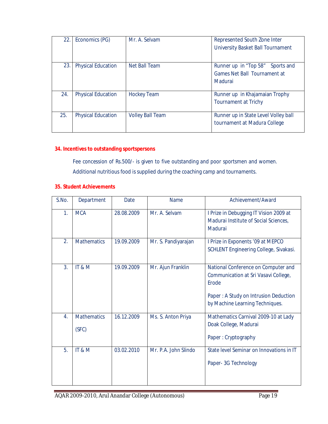| 22. | Economics (PG)            | Mr. A. Selvam           | Represented South Zone Inter<br>University Basket Ball Tournament                  |
|-----|---------------------------|-------------------------|------------------------------------------------------------------------------------|
| 23. | <b>Physical Education</b> | Net Ball Team           | Runner up in "Top 58" Sports and<br><b>Games Net Ball Tournament at</b><br>Madurai |
| 24. | <b>Physical Education</b> | <b>Hockey Team</b>      | Runner up in Khajamaian Trophy<br><b>Tournament at Trichy</b>                      |
| 25. | <b>Physical Education</b> | <b>Volley Ball Team</b> | Runner up in State Level Volley ball<br>tournament at Madura College               |

# **34. Incentives to outstanding sportspersons**

Fee concession of Rs.500/- is given to five outstanding and poor sportsmen and women. Additional nutritious food is supplied during the coaching camp and tournaments.

#### **35. Student Achievements**

| S.No. | Department                  | Date       | <b>Name</b>          | Achievement/Award                                                                                                                                                       |
|-------|-----------------------------|------------|----------------------|-------------------------------------------------------------------------------------------------------------------------------------------------------------------------|
| 1.    | <b>MCA</b>                  | 28.08.2009 | Mr. A. Selvam        | I Prize in Debugging IT Vision 2009 at<br>Madurai Institute of Social Sciences,<br>Madurai                                                                              |
| 2.    | <b>Mathematics</b>          | 19.09.2009 | Mr. S. Pandiyarajan  | I Prize in Exponents '09 at MEPCO<br>SCHLENT Engineering College, Sivakasi.                                                                                             |
| 3.    | IT&M                        | 19.09.2009 | Mr. Ajun Franklin    | National Conference on Computer and<br>Communication at Sri Vasavi College,<br><b>Frode</b><br>Paper: A Study on Intrusion Deduction<br>by Machine Learning Techniques. |
| 4.    | <b>Mathematics</b><br>(SFC) | 16.12.2009 | Ms. S. Anton Priya   | Mathematics Carnival 2009-10 at Lady<br>Doak College, Madurai<br>Paper: Cryptography                                                                                    |
| 5.    | IT&M                        | 03.02.2010 | Mr. P.A. John Slindo | State level Seminar on Innovations in IT<br>Paper- 3G Technology                                                                                                        |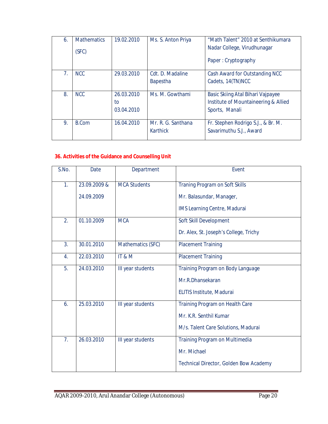| 6. | <b>Mathematics</b><br>(SFC) | 19.02.2010                     | Ms. S. Anton Priya                  | "Math Talent" 2010 at Senthikumara<br>Nadar College, Virudhunagar<br>Paper: Cryptography    |
|----|-----------------------------|--------------------------------|-------------------------------------|---------------------------------------------------------------------------------------------|
| 7. | <b>NCC</b>                  | 29.03.2010                     | Cdt. D. Madaline<br><b>Bapestha</b> | Cash Award for Outstanding NCC<br>Cadets, 14(TN)NCC                                         |
| 8. | <b>NCC</b>                  | 26.03.2010<br>to<br>03.04.2010 | Ms. M. Gowthami                     | Basic Skiing Atal Bihari Vajpayee<br>Institute of Mountaineering & Allied<br>Sports, Manali |
| 9. | B.Com                       | 16.04.2010                     | Mr. R. G. Santhana<br>Karthick      | Fr. Stephen Rodrigo S.J., & Br. M.<br>Savarimuthu S.J., Award                               |

# **36. Activities of the Guidance and Counselling Unit**

| S.No.          | <b>Date</b>  | Department          | Event                                  |
|----------------|--------------|---------------------|----------------------------------------|
| 1.             | 23.09.2009 & | <b>MCA Students</b> | Traning Program on Soft Skills         |
|                | 24.09.2009   |                     | Mr. Balasundar, Manager,               |
|                |              |                     | IMS Learning Centre, Madurai           |
| 2.             | 01.10.2009   | <b>MCA</b>          | Soft Skill Development                 |
|                |              |                     | Dr. Alex, St. Joseph's College, Trichy |
| 3.             | 30.01.2010   | Mathematics (SFC)   | <b>Placement Training</b>              |
| 4.             | 22.03.2010   | IT&M                | <b>Placement Training</b>              |
| 5.             | 24.03.2010   | III year students   | Training Program on Body Language      |
|                |              |                     | Mr.R.Dhansekaran                       |
|                |              |                     | <b>ELITIS Institute, Madurai</b>       |
| 6.             | 25.03.2010   | III year students   | Training Program on Health Care        |
|                |              |                     | Mr. K.R. Senthil Kumar                 |
|                |              |                     | M/s. Talent Care Solutions, Madurai    |
| 7 <sub>1</sub> | 26.03.2010   | III year students   | Training Program on Multimedia         |
|                |              |                     | Mr. Michael                            |
|                |              |                     | Technical Director, Golden Bow Academy |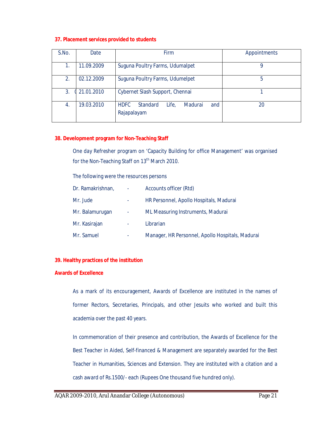#### **37. Placement services provided to students**

| S.No. | Date       | <b>Firm</b>                                                       | Appointments |
|-------|------------|-------------------------------------------------------------------|--------------|
|       | 11.09.2009 | Suguna Poultry Farms, Udumalpet                                   | Q            |
| 2.    | 02.12.2009 | Suguna Poultry Farms, Udumelpet                                   | 5            |
| 3.    | 21.01.2010 | Cybernet Slash Support, Chennai                                   |              |
| 4.    | 19.03.2010 | <b>HDFC</b><br>Life,<br>Standard<br>Madurai<br>and<br>Rajapalayam | 20           |

#### **38. Development program for Non-Teaching Staff**

One day Refresher program on 'Capacity Building for office Management' was organised for the Non-Teaching Staff on 13<sup>th</sup> March 2010.

The following were the resources persons

| Dr. Ramakrishnan, | $\blacksquare$ | Accounts officer (Rtd)                           |
|-------------------|----------------|--------------------------------------------------|
| Mr. Jude          | ۰              | HR Personnel, Apollo Hospitals, Madurai          |
| Mr. Balamurugan   | $\blacksquare$ | ML Measuring Instruments, Madurai                |
| Mr. Kasirajan     | ä,             | Librarian                                        |
| Mr. Samuel        |                | Manager, HR Personnel, Apollo Hospitals, Madurai |

#### **39. Healthy practices of the institution**

#### **Awards of Excellence**

As a mark of its encouragement, Awards of Excellence are instituted in the names of former Rectors, Secretaries, Principals, and other Jesuits who worked and built this academia over the past 40 years.

In commemoration of their presence and contribution, the Awards of Excellence for the Best Teacher in Aided, Self-financed & Management are separately awarded for the Best Teacher in Humanities, Sciences and Extension. They are instituted with a citation and a cash award of Rs.1500/- each (Rupees One thousand five hundred only).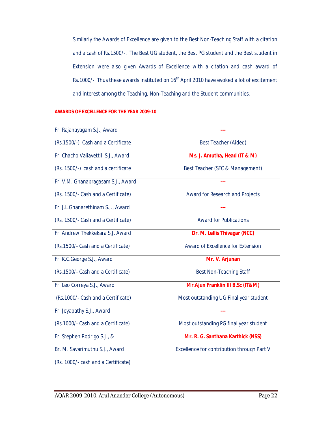Similarly the Awards of Excellence are given to the Best Non-Teaching Staff with a citation and a cash of Rs.1500/-. The Best UG student, the Best PG student and the Best student in Extension were also given Awards of Excellence with a citation and cash award of Rs.1000/-. Thus these awards instituted on 16<sup>th</sup> April 2010 have evoked a lot of excitement and interest among the Teaching, Non-Teaching and the Student communities.

#### **AWARDS OF EXCELLENCE FOR THE YEAR 2009-10**

| Fr. Rajanayagam S.J., Award         |                                            |
|-------------------------------------|--------------------------------------------|
| (Rs. 1500/-) Cash and a Certificate | <b>Best Teacher (Aided)</b>                |
| Fr. Chacho Valiavettil S.J., Award  | Ms. J. Amutha, Head (IT & M)               |
| (Rs. 1500/-) cash and a certificate | Best Teacher (SFC & Management)            |
| Fr. V.M. Gnanapragasam S.J., Award  |                                            |
| (Rs. 1500/- Cash and a Certificate) | Award for Research and Projects            |
| Fr. J.L.Gnanarethinam S.J., Award   |                                            |
| (Rs. 1500/- Cash and a Certificate) | <b>Award for Publications</b>              |
| Fr. Andrew Thekkekara S.J. Award    | Dr. M. Lellis Thivagar (NCC)               |
| (Rs.1500/- Cash and a Certificate)  | <b>Award of Excellence for Extension</b>   |
| Fr. K.C.George S.J., Award          | Mr. V. Arjunan                             |
| (Rs.1500/- Cash and a Certificate)  | <b>Best Non-Teaching Staff</b>             |
| Fr. Leo Correya S.J., Award         | Mr.Ajun Franklin III B.Sc (IT&M)           |
| (Rs.1000/- Cash and a Certificate)  | Most outstanding UG Final year student     |
| Fr. Jeyapathy S.J., Award           |                                            |
| (Rs. 1000/- Cash and a Certificate) | Most outstanding PG final year student     |
| Fr. Stephen Rodrigo S.J., &         | Mr. R. G. Santhana Karthick (NSS)          |
| Br. M. Savarimuthu S.J., Award      | Excellence for contribution through Part V |
| (Rs. 1000/- cash and a Certificate) |                                            |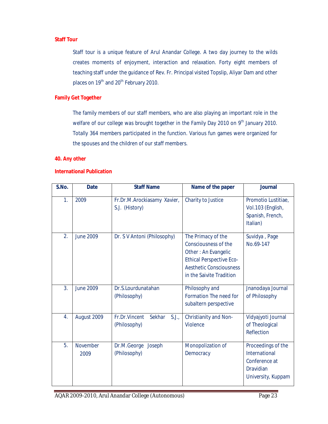# **Staff Tour**

Staff tour is a unique feature of Arul Anandar College. A two day journey to the wilds creates moments of enjoyment, interaction and relaxation. Forty eight members of teaching staff under the guidance of Rev. Fr. Principal visited Topslip, Aliyar Dam and other places on 19<sup>th</sup> and 20<sup>th</sup> February 2010.

#### **Family Get Together**

The family members of our staff members, who are also playing an important role in the welfare of our college was brought together in the Family Day 2010 on 9<sup>th</sup> January 2010. Totally 364 members participated in the function. Various fun games were organized for the spouses and the children of our staff members.

#### **40. Any other**

#### **International Publication**

| S.No. | <b>Date</b>      | <b>Staff Name</b>                                | Name of the paper                                                                                                                                                  | <b>Journal</b>                                                                                        |
|-------|------------------|--------------------------------------------------|--------------------------------------------------------------------------------------------------------------------------------------------------------------------|-------------------------------------------------------------------------------------------------------|
| 1.    | 2009             | Fr.Dr.M.Arockiasamy Xavier,<br>S.J. (History)    | Charity to Justice                                                                                                                                                 | Promotio Lustitiae,<br>Vol.103 (English,<br>Spanish, French,<br>Italian)                              |
| 2.    | <b>June 2009</b> | Dr. S V Antoni (Philosophy)                      | The Primacy of the<br>Consciousness of the<br>Other: An Evangelic<br><b>Ethical Perspective Eco-</b><br><b>Aesthetic Consciousness</b><br>in the Saivite Tradition | Suvidya, Page<br>No.69-147                                                                            |
| 3.    | <b>June 2009</b> | Dr.S.Lourdunatahan<br>(Philosophy)               | Philosophy and<br>Formation The need for<br>subaltern perspective                                                                                                  | Jnanodaya Journal<br>of Philosophy                                                                    |
| 4.    | August 2009      | Fr.Dr.Vincent<br>Sekhar<br>S.J.,<br>(Philosophy) | Christianity and Non-<br>Violence                                                                                                                                  | Vidyajyoti Journal<br>of Theological<br>Reflection                                                    |
| 5.    | November<br>2009 | Dr.M.George<br>Joseph<br>(Philosophy)            | Monopolization of<br>Democracy                                                                                                                                     | Proceedings of the<br><b>International</b><br>Conference at<br><b>Dravidian</b><br>University, Kuppam |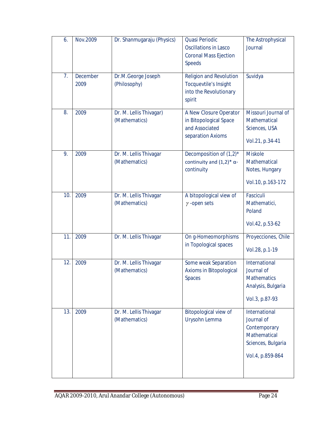| 6.             | Nov.2009         | Dr. Shanmugaraju (Physics)               | Quasi Periodic<br><b>Oscillations in Lasco</b><br><b>Coronal Mass Ejection</b><br><b>Speeds</b> | The Astrophysical<br>Journal                                                                          |
|----------------|------------------|------------------------------------------|-------------------------------------------------------------------------------------------------|-------------------------------------------------------------------------------------------------------|
| 7 <sub>1</sub> | December<br>2009 | Dr.M.George Joseph<br>(Philosophy)       | <b>Religion and Revolution</b><br>Tocquevtile's Insight<br>into the Revolutionary<br>spirit     | Suvidya                                                                                               |
| 8.             | 2009             | Dr. M. Lellis Thivagar)<br>(Mathematics) | A New Closure Operator<br>in Bitopological Space<br>and Associated<br>separation Axioms         | Missouri Journal of<br>Mathematical<br>Sciences, USA<br>Vol.21, p.34-41                               |
| 9.             | 2009             | Dr. M. Lellis Thivagar<br>(Mathematics)  | Decomposition of $(1,2)^*$<br>continuity and $(1,2)^*$ $\alpha$ -<br>continuity                 | <b>Miskole</b><br>Mathematical<br>Notes, Hungary<br>Vol.10, p.163-172                                 |
| 10.            | 2009             | Dr. M. Lellis Thivagar<br>(Mathematics)  | A bitopological view of<br>$\gamma$ -open sets                                                  | Fasciculi<br>Mathematici,<br>Poland<br>Vol.42, p.53-62                                                |
| 11.            | 2009             | Dr. M. Lellis Thivagar                   | On g-Homeomorphisms<br>in Topological spaces                                                    | Proyecciones, Chile<br>Vol.28, p.1-19                                                                 |
| 12.            | 2009             | Dr. M. Lellis Thivagar<br>(Mathematics)  | Some weak Separation<br>Axioms in Bitopological<br><b>Spaces</b>                                | International<br>Journal of<br><b>Mathematics</b><br>Analysis, Bulgaria<br>Vol.3, p.87-93             |
| 13.            | 2009             | Dr. M. Lellis Thivagar<br>(Mathematics)  | Bitopological view of<br>Urysohn Lemma                                                          | International<br>Journal of<br>Contemporary<br>Mathematical<br>Sciences, Bulgaria<br>Vol.4, p.859-864 |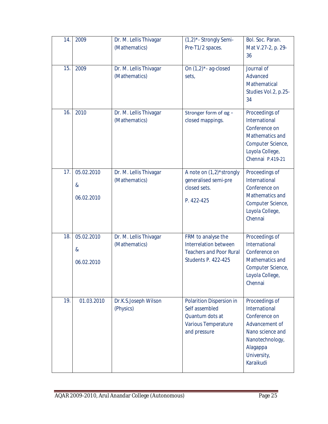| 14. | 2009                                              | Dr. M. Lellis Thivagar<br>(Mathematics) | (1,2)*- Strongly Semi-<br>Pre-T1/2 spaces.                                                                         | Bol. Soc. Paran.<br>Mat V.27-2, p. 29-<br>36                                                                                                      |
|-----|---------------------------------------------------|-----------------------------------------|--------------------------------------------------------------------------------------------------------------------|---------------------------------------------------------------------------------------------------------------------------------------------------|
| 15. | 2009                                              | Dr. M. Lellis Thivagar<br>(Mathematics) | On $(1,2)^*$ - ag-closed<br>sets,                                                                                  | Journal of<br>Advanced<br>Mathematical<br>Studies Vol.2, p.25-<br>34                                                                              |
| 16. | 2010                                              | Dr. M. Lellis Thivagar<br>(Mathematics) | Stronger form of $\alpha$ g -<br>closed mappings.                                                                  | Proceedings of<br>International<br>Conference on<br>Mathematics and<br>Computer Science,<br>Loyola College,<br>Chennai P.419-21                   |
| 17. | 05.02.2010<br>$\boldsymbol{\alpha}$<br>06.02.2010 | Dr. M. Lellis Thivagar<br>(Mathematics) | A note on (1,2)*strongly<br>generalised semi-pre<br>closed sets.<br>P. 422-425                                     | Proceedings of<br>International<br>Conference on<br>Mathematics and<br>Computer Science,<br>Loyola College,<br>Chennai                            |
| 18. | 05.02.2010<br>$\boldsymbol{\alpha}$<br>06.02.2010 | Dr. M. Lellis Thivagar<br>(Mathematics) | FRM to analyse the<br><b>Interrelation between</b><br><b>Teachers and Poor Rural</b><br><b>Students P. 422-425</b> | Proceedings of<br>International<br>Conference on<br>Mathematics and<br>Computer Science,<br>Loyola College,<br>Chennai                            |
| 19. | 01.03.2010                                        | Dr.K.S.Joseph Wilson<br>(Physics)       | Polarition Dispersion in<br>Self assembled<br>Quantum dots at<br>Various Temperature<br>and pressure               | Proceedings of<br>International<br>Conference on<br>Advancement of<br>Nano science and<br>Nanotechnology,<br>Alagappa<br>University,<br>Karaikudi |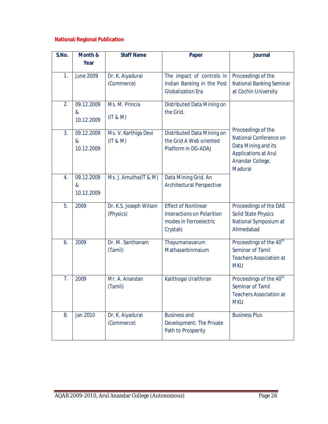# **National/Regional Publication**

| S.No.            | Month &                                           | <b>Staff Name</b>                   | <b>Paper</b>                                                                                          | <b>Journal</b>                                                                                                                    |
|------------------|---------------------------------------------------|-------------------------------------|-------------------------------------------------------------------------------------------------------|-----------------------------------------------------------------------------------------------------------------------------------|
|                  | Year                                              |                                     |                                                                                                       |                                                                                                                                   |
| 1.               | <b>June 2009</b>                                  | Dr. K. Aiyadurai<br>(Commerce)      | The impact of controls in<br>Indian Banking in the Post<br><b>Globalization Era</b>                   | Proceedings of the<br><b>National Banking Seminar</b><br>at Cochin University                                                     |
| 2.               | 09.12.2009<br>&<br>10.12.2009                     | Ms. M. Princia<br>(IT & M)          | Distributed Data Mining on<br>the Grid.                                                               |                                                                                                                                   |
| 3.               | 09.12.2009<br>$\boldsymbol{\alpha}$<br>10.12.2009 | Ms. V. Karthiga Devi<br>(IT & M)    | Distributed Data Mining on<br>the Grid A Web oriented<br>Platform in DG-ADAJ                          | Proceedings of the<br>National Conference on<br>Data Mining and its<br><b>Applications at Arul</b><br>Anandar College,<br>Madurai |
| $\overline{4}$ . | 09.12.2009<br>&<br>10.12.2009                     | Ms. J. Amutha(IT & M)               | Data Mining Grid. An<br><b>Architectural Perspective</b>                                              |                                                                                                                                   |
| 5.               | 2009                                              | Dr. K.S. Joseph Wilson<br>(Physics) | <b>Effect of Nonlinear</b><br><b>Interactions on Polarition</b><br>modes in Ferroelectric<br>Crystals | Proceedings of the DAE<br><b>Solid State Physics</b><br>National Symposium at<br>Ahmedabad                                        |
| 6.               | 2009                                              | Dr. M. Santhanam<br>(Tamil)         | Thayumanavarum<br>Mathasarbinmaium                                                                    | Proceedings of the 40 <sup>th</sup><br>Seminar of Tamil<br><b>Teachers Association at</b><br><b>MKU</b>                           |
| 7.               | 2009                                              | Mr. A. Anandan<br>(Tamil)           | Kalithogai Uraithiran                                                                                 | Proceedings of the 40 <sup>th</sup><br>Seminar of Tamil<br><b>Teachers Association at</b><br><b>MKU</b>                           |
| 8.               | Jan 2010                                          | Dr. K. Aiyadurai<br>(Commerce)      | <b>Business and</b><br>Development: The Private<br>Path to Prosperity                                 | <b>Business Plus</b>                                                                                                              |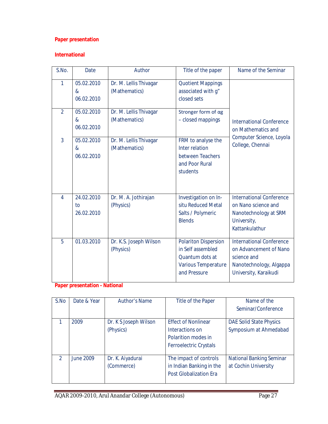# **Paper presentation**

# **International**

| S.No.          | Date                           | Author                                  | Title of the paper                                                                                                | Name of the Seminar                                                                                                          |
|----------------|--------------------------------|-----------------------------------------|-------------------------------------------------------------------------------------------------------------------|------------------------------------------------------------------------------------------------------------------------------|
| 1              | 05.02.2010<br>&<br>06.02.2010  | Dr. M. Lellis Thivagar<br>(Mathematics) | <b>Quotient Mappings</b><br>associated with g"<br>closed sets                                                     |                                                                                                                              |
| $\overline{2}$ | 05.02.2010<br>&<br>06.02.2010  | Dr. M. Lellis Thivagar<br>(Mathematics) | Stronger form of ag<br>- closed mappings                                                                          | <b>International Conference</b><br>on Mathematics and<br>Computer Science, Loyola                                            |
| 3              | 05.02.2010<br>&<br>06.02.2010  | Dr. M. Lellis Thivagar<br>(Mathematics) | FRM to analyse the<br>Inter relation<br>between Teachers<br>and Poor Rural<br>students                            | College, Chennai                                                                                                             |
| $\overline{4}$ | 24.02.2010<br>to<br>26.02.2010 | Dr. M. A. Jothirajan<br>(Physics)       | Investigation on In-<br>situ Reduced Metal<br>Salts / Polymeric<br><b>Blends</b>                                  | <b>International Conference</b><br>on Nano science and<br>Nanotechnology at SRM<br>University,<br>Kattankulathur             |
| 5              | 01.03.2010                     | Dr. K.S. Joseph Wilson<br>(Physics)     | <b>Polariton Dispersion</b><br>in Self assembled<br>Quantum dots at<br><b>Various Temperature</b><br>and Pressure | <b>International Conference</b><br>on Advancement of Nano<br>science and<br>Nanotechnology, Algappa<br>University, Karaikudi |

# **Paper presentation - National**

| S.No          | Date & Year | <b>Author's Name</b>               | Title of the Paper                                                                                    | Name of the                                              |
|---------------|-------------|------------------------------------|-------------------------------------------------------------------------------------------------------|----------------------------------------------------------|
|               |             |                                    |                                                                                                       | Seminar/Conference                                       |
|               | 2009        | Dr. K S Joseph Wilson<br>(Physics) | <b>Effect of Nonlinear</b><br>Interactions on<br>Polarition modes in<br><b>Ferroelectric Crystals</b> | <b>DAE Solid State Physics</b><br>Symposium at Ahmedabad |
| $\mathcal{P}$ | June 2009   | Dr. K. Aiyadurai<br>(Commerce)     | The impact of controls<br>in Indian Banking in the<br><b>Post Globalization Era</b>                   | <b>National Banking Seminar</b><br>at Cochin University  |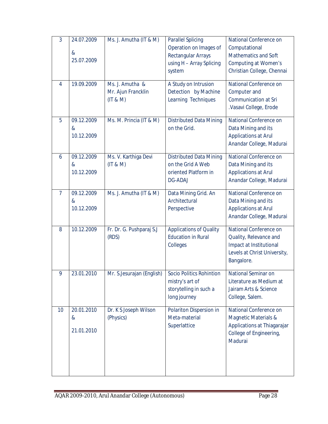| 3              | 24.07.2009<br>&<br>25.07.2009 | Ms. J. Amutha (IT & M)                            | <b>Parallel Splicing</b><br>Operation on Images of<br><b>Rectangular Arrays</b><br>using H - Array Splicing<br>system | National Conference on<br>Computational<br><b>Mathematics and Soft</b><br><b>Computing at Women's</b><br>Christian College, Chennai |
|----------------|-------------------------------|---------------------------------------------------|-----------------------------------------------------------------------------------------------------------------------|-------------------------------------------------------------------------------------------------------------------------------------|
| $\overline{4}$ | 19.09.2009                    | Ms. J. Amutha &<br>Mr. Ajun Francklin<br>(IT & M) | A Study on Intrusion<br>Detection by Machine<br>Learning Techniques                                                   | National Conference on<br>Computer and<br><b>Communication at Sri</b><br>.Vasavi College, Erode                                     |
| 5              | 09.12.2009<br>&<br>10.12.2009 | Ms. M. Princia (IT & M)                           | <b>Distributed Data Mining</b><br>on the Grid.                                                                        | National Conference on<br>Data Mining and its<br><b>Applications at Arul</b><br>Anandar College, Madurai                            |
| 6              | 09.12.2009<br>&<br>10.12.2009 | Ms. V. Karthiga Devi<br>(IT & M)                  | <b>Distributed Data Mining</b><br>on the Grid A Web<br>oriented Platform in<br><b>DG-ADAJ</b>                         | National Conference on<br>Data Mining and its<br><b>Applications at Arul</b><br>Anandar College, Madurai                            |
| $\overline{7}$ | 09.12.2009<br>&<br>10.12.2009 | Ms. J. Amutha (IT & M)                            | Data Mining Grid. An<br>Architectural<br>Perspective                                                                  | National Conference on<br>Data Mining and its<br><b>Applications at Arul</b><br>Anandar College, Madurai                            |
| 8              | 10.12.2009                    | Fr. Dr. G. Pushparaj S.J<br>(RDS)                 | <b>Applications of Quality</b><br><b>Education in Rural</b><br>Colleges                                               | National Conference on<br>Quality, Relevance and<br>Impact at Institutional<br>Levels at Christ University,<br>Bangalore.           |
| 9              | 23.01.2010                    | Mr. S.Jesurajan (English)                         | <b>Socio Politics Rohintion</b><br>mistry's art of<br>storytelling in such a<br>long journey                          | National Seminar on<br>Literature as Medium at<br>Jairam Arts & Science<br>College, Salem.                                          |
| 10             | 20.01.2010<br>&<br>21.01.2010 | Dr. K S Joseph Wilson<br>(Physics)                | Polariton Dispersion in<br>Meta-material<br>Superlattice                                                              | National Conference on<br>Magnetic Materials &<br>Applications at Thiagarajar<br>College of Engineering,<br>Madurai                 |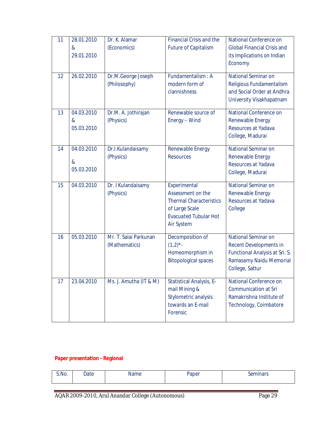| 11 | 28.01.2010<br>$\boldsymbol{\alpha}$<br>29.01.2010 | Dr. K. Alamar<br>(Economics)           | <b>Financial Crisis and the</b><br><b>Future of Capitalism</b>                                                                             | National Conference on<br><b>Global Financial Crisis and</b><br>its Implications on Indian<br>Economy                                |
|----|---------------------------------------------------|----------------------------------------|--------------------------------------------------------------------------------------------------------------------------------------------|--------------------------------------------------------------------------------------------------------------------------------------|
| 12 | 26.02.2010                                        | Dr.M.George Joseph<br>(Philosophy)     | Fundamentalism: A<br>modern form of<br>clannishness                                                                                        | National Seminar on<br>Religious Fundamentalism<br>and Social Order at Andhra<br>University Visakhapatnam                            |
| 13 | 04.03.2010<br>$\&$<br>05.03.2010                  | Dr.M. A. Jothirajan<br>(Physics)       | Renewable source of<br>Energy - Wind                                                                                                       | National Conference on<br>Renewable Energy<br>Resources at Yadava<br>College, Madurai                                                |
| 14 | 04.03.2010<br>&<br>05.03.2010                     | Dr.I.Kulandaisamy<br>(Physics)         | Renewable Energy<br><b>Resources</b>                                                                                                       | <b>National Seminar on</b><br>Renewable Energy<br>Resources at Yadava<br>College, Madurai                                            |
| 15 | 04.03.2010                                        | Dr. I Kulandaisamy<br>(Physics)        | Experimental<br>Assessment on the<br><b>Thermal Characteristics</b><br>of Large Scale<br><b>Evacuated Tubular Hot</b><br><b>Air System</b> | National Seminar on<br>Renewable Energy<br>Resources at Yadava<br>College                                                            |
| 16 | 05.03.2010                                        | Mr. T. Salai Parkunan<br>(Mathematics) | Decomposition of<br>$(1,2)^{*}$ -<br>Homeomorphism in<br><b>Bitopological spaces</b>                                                       | <b>National Seminar on</b><br>Recent Developments in<br>Functional Analysis at Sri. S.<br>Ramasamy Naidu Memorial<br>College, Sattur |
| 17 | 23.04.2010                                        | Ms. J. Amutha (IT & M)                 | Statistical Analysis, E-<br>mail Mining &<br>Stylometric analysis<br>towards an E-mail<br>Forensic                                         | National Conference on<br><b>Communication at Sri</b><br>Ramakrishna Institute of<br>Technology, Coimbatore                          |

# **Paper presentation - Regional**

| יטה.<br>----<br>------<br>___ | S.No. | )ate | ™≏ | Donor | $\alpha$ min $\alpha$ re |
|-------------------------------|-------|------|----|-------|--------------------------|
|                               |       |      |    |       |                          |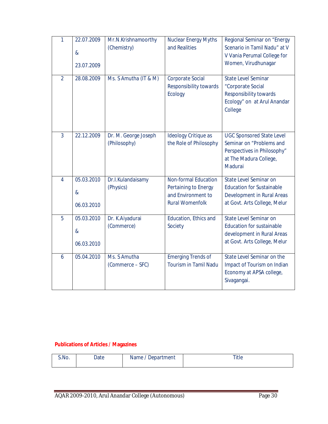| $\mathbf{1}$   | 22.07.2009<br>&<br>23.07.2009                 | Mr.N.Krishnamoorthy<br>(Chemistry)   | <b>Nuclear Energy Myths</b><br>and Realities                                                        | Regional Seminar on "Energy<br>Scenario in Tamil Nadu" at V<br>V Vania Perumal College for<br>Women, Virudhunagar                |
|----------------|-----------------------------------------------|--------------------------------------|-----------------------------------------------------------------------------------------------------|----------------------------------------------------------------------------------------------------------------------------------|
| $\overline{2}$ | 28.08.2009                                    | Ms. S Amutha (IT & M)                | <b>Corporate Social</b><br>Responsibility towards<br><b>Ecology</b>                                 | <b>State Level Seminar</b><br>"Corporate Social<br><b>Responsibility towards</b><br>Ecology" on at Arul Anandar<br>College       |
| $\overline{3}$ | 22.12.2009                                    | Dr. M. George Joseph<br>(Philosophy) | Ideology Critique as<br>the Role of Philosophy                                                      | <b>UGC Sponsored State Level</b><br>Seminar on "Problems and<br>Perspectives in Philosophy"<br>at The Madura College,<br>Madurai |
| $\overline{4}$ | 05.03.2010<br>$\&$<br>06.03.2010              | Dr.I.Kulandaisamy<br>(Physics)       | <b>Non-formal Education</b><br>Pertaining to Energy<br>and Environment to<br><b>Rural Womenfolk</b> | <b>State Level Seminar on</b><br><b>Education for Sustainable</b><br>Development in Rural Areas<br>at Govt. Arts College, Melur  |
| 5              | 05.03.2010<br>$\boldsymbol{\&}$<br>06.03.2010 | Dr. K.Aiyadurai<br>(Commerce)        | Education, Ethics and<br>Society                                                                    | State Level Seminar on<br><b>Education for sustainable</b><br>development in Rural Areas<br>at Govt. Arts College, Melur         |
| 6              | 05.04.2010                                    | Ms. S Amutha<br>(Commerce – SFC)     | <b>Emerging Trends of</b><br><b>Tourism in Tamil Nadu</b>                                           | State Level Seminar on the<br>Impact of Tourism on Indian<br>Economy at APSA college,<br>Sivagangai.                             |

# **Publications of Articles / Magazines**

| S.No. | Date | Name / Department | Title |
|-------|------|-------------------|-------|
|       |      |                   |       |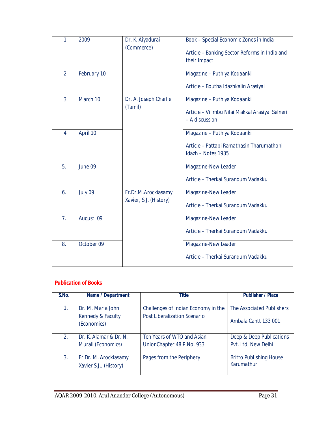| 1              | 2009        | Dr. K. Aiyadurai       | Book - Special Economic Zones in India          |
|----------------|-------------|------------------------|-------------------------------------------------|
|                |             | (Commerce)             |                                                 |
|                |             |                        | Article - Banking Sector Reforms in India and   |
|                |             |                        | their Impact                                    |
|                |             |                        |                                                 |
| $\overline{2}$ | February 10 |                        | Magazine - Puthiya Kodaanki                     |
|                |             |                        |                                                 |
|                |             |                        | Article - Boutha Idazhkalin Arasiyal            |
|                |             |                        |                                                 |
| $\overline{3}$ | March 10    | Dr. A. Joseph Charlie  | Magazine - Puthiya Kodaanki                     |
|                |             | (Tamil)                |                                                 |
|                |             |                        | Article - Vilimbu Nilai Makkal Arasiyal Selneri |
|                |             |                        | - A discussion                                  |
|                |             |                        |                                                 |
| $\overline{4}$ | April 10    |                        | Magazine - Puthiya Kodaanki                     |
|                |             |                        |                                                 |
|                |             |                        | Article - Pattabi Ramathasin Tharumathoni       |
|                |             |                        | Idazh - Notes 1935                              |
|                |             |                        |                                                 |
| 5.             | June 09     |                        | Magazine-New Leader                             |
|                |             |                        |                                                 |
|                |             |                        | Article - Therkai Surandum Vadakku              |
|                |             |                        |                                                 |
| 6.             | July 09     | Fr.Dr.M.Arockiasamy    | Magazine-New Leader                             |
|                |             | Xavier, S.J. (History) |                                                 |
|                |             |                        | Article - Therkai Surandum Vadakku              |
|                |             |                        |                                                 |
| 7 <sub>1</sub> | August 09   |                        | Magazine-New Leader                             |
|                |             |                        |                                                 |
|                |             |                        | Article - Therkai Surandum Vadakku              |
| 8.             | October 09  |                        |                                                 |
|                |             |                        | Magazine-New Leader                             |
|                |             |                        | Article - Therkai Surandum Vadakku              |
|                |             |                        |                                                 |
|                |             |                        |                                                 |

# **Publication of Books**

| S.No. | Name / Department                               | <b>Title</b>                        | <b>Publisher / Place</b>                     |
|-------|-------------------------------------------------|-------------------------------------|----------------------------------------------|
|       |                                                 |                                     |                                              |
| 1.    | Dr. M. Maria John                               | Challenges of Indian Economy in the | The Associated Publishers                    |
|       | Kennedy & Faculty<br>(Economics)                | Post Liberalization Scenario        | Ambala Cantt 133 001.                        |
| 2.    | Dr. K. Alamar & Dr. N.                          | Ten Years of WTO and Asian          | Deep & Deep Publications                     |
|       | Murali (Economics)                              | UnionChapter 48 P.No. 933           | Pvt. Ltd, New Delhi                          |
| 3.    | Fr.Dr. M. Arockiasamy<br>Xavier S.J., (History) | Pages from the Periphery            | <b>Britto Publishing House</b><br>Karumathur |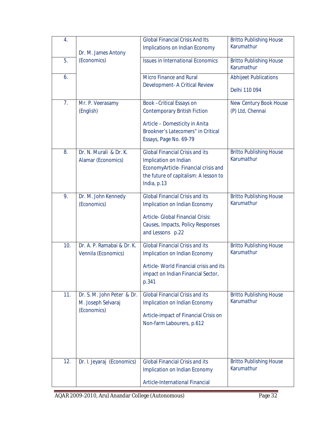| 4.  |                                                                 | <b>Global Financial Crisis And Its</b><br>Implications on Indian Economy                                                                                              | <b>Britto Publishing House</b><br>Karumathur  |
|-----|-----------------------------------------------------------------|-----------------------------------------------------------------------------------------------------------------------------------------------------------------------|-----------------------------------------------|
| 5.  | Dr. M. James Antony<br>(Economics)                              | <b>Issues in International Economics</b>                                                                                                                              | <b>Britto Publishing House</b>                |
|     |                                                                 | <b>Micro Finance and Rural</b>                                                                                                                                        | Karumathur                                    |
| 6.  |                                                                 | Development- A Critical Review                                                                                                                                        | <b>Abhijeet Publications</b><br>Delhi 110 094 |
| 7.  | Mr. P. Veerasamy<br>(English)                                   | Book - Critical Essays on<br><b>Contemporary British Fiction</b><br>Article - Domesticity in Anita<br>Brookner's Latecomers" in Critical<br>Essays, Page No. 69-79    | New Century Book House<br>(P) Ltd, Chennai    |
| 8.  | Dr. N. Murali & Dr. K.<br>Alamar (Economics)                    | <b>Global Financial Crisis and its</b><br>Implication on Indian<br>EconomyArticle-Financial crisis and<br>the future of capitalism: A lesson to<br>India, p.13        | <b>Britto Publishing House</b><br>Karumathur  |
| 9.  | Dr. M. John Kennedy<br>(Economics)                              | <b>Global Financial Crisis and its</b><br>Implication on Indian Economy<br>Article- Global Financial Crisis:<br>Causes, Impacts, Policy Responses<br>and Lessons p.22 | <b>Britto Publishing House</b><br>Karumathur  |
| 10. | Dr. A. P. Ramabai & Dr. K.<br>Vennila (Economics)               | <b>Global Financial Crisis and its</b><br>Implication on Indian Economy<br>Article- World Financial crisis and its<br>impact on Indian Financial Sector,<br>p.341     | <b>Britto Publishing House</b><br>Karumathur  |
| 11. | Dr. S. M. John Peter & Dr.<br>M. Joseph Selvaraj<br>(Economics) | <b>Global Financial Crisis and its</b><br>Implication on Indian Economy<br>Article-impact of Financial Crisis on<br>Non-farm Labourers, p.612                         | <b>Britto Publishing House</b><br>Karumathur  |
| 12. | Dr. I. Jeyaraj (Economics)                                      | <b>Global Financial Crisis and its</b><br>Implication on Indian Economy<br>Article-International Financial                                                            | <b>Britto Publishing House</b><br>Karumathur  |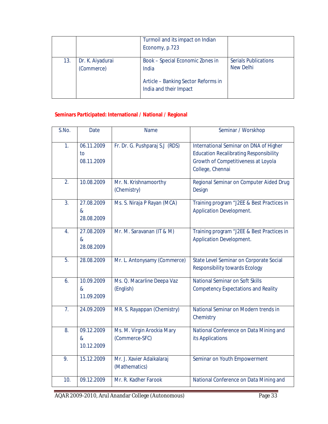|     |                                | Turmoil and its impact on Indian<br>Economy, p.723                                                         |                                                 |
|-----|--------------------------------|------------------------------------------------------------------------------------------------------------|-------------------------------------------------|
| 13. | Dr. K. Aiyadurai<br>(Commerce) | Book - Special Economic Zones in<br>India<br>Article - Banking Sector Reforms in<br>India and their Impact | <b>Serials Publications</b><br><b>New Delhi</b> |

# **Seminars Participated: International / National / Regional**

| S.No.            | <b>Date</b>                      | <b>Name</b>                                  | Seminar / Worskhop                                                                                                                                 |
|------------------|----------------------------------|----------------------------------------------|----------------------------------------------------------------------------------------------------------------------------------------------------|
| 1.               | 06.11.2009<br>to<br>08.11.2009   | Fr. Dr. G. Pushparaj S.J (RDS)               | International Seminar on DNA of Higher<br><b>Education Recalibrating Responsibility</b><br>Growth of Competitiveness at Loyola<br>College, Chennai |
| 2.               | 10.08.2009                       | Mr. N. Krishnamoorthy<br>(Chemistry)         | Regional Seminar on Computer Aided Drug<br>Design                                                                                                  |
| $\overline{3}$ . | 27.08.2009<br>&<br>28.08.2009    | Ms. S. Niraja P Rayan (MCA)                  | Training program "J2EE & Best Practices in<br><b>Application Development.</b>                                                                      |
| 4.               | 27.08.2009<br>$\&$<br>28.08.2009 | Mr. M. Saravanan (IT & M)                    | Training program "J2EE & Best Practices in<br><b>Application Development.</b>                                                                      |
| 5.               | 28.08.2009                       | Mr. L. Antonysamy (Commerce)                 | State Level Seminar on Corporate Social<br><b>Responsibility towards Ecology</b>                                                                   |
| 6.               | 10.09.2009<br>&<br>11.09.2009    | Ms. Q. Macarline Deepa Vaz<br>(English)      | National Seminar on Soft Skills<br><b>Competency Expectations and Reality</b>                                                                      |
| 7 <sub>1</sub>   | 24.09.2009                       | MR. S. Rayappan (Chemistry)                  | National Seminar on Modern trends in<br>Chemistry                                                                                                  |
| 8.               | 09.12.2009<br>$\&$<br>10.12.2009 | Ms. M. Virgin Arockia Mary<br>(Commerce-SFC) | National Conference on Data Mining and<br>its Applications                                                                                         |
| 9.               | 15.12.2009                       | Mr. J. Xavier Adaikalaraj<br>(Mathematics)   | Seminar on Youth Empowerment                                                                                                                       |
| 10.              | 09.12.2009                       | Mr. R. Kadher Farook                         | National Conference on Data Mining and                                                                                                             |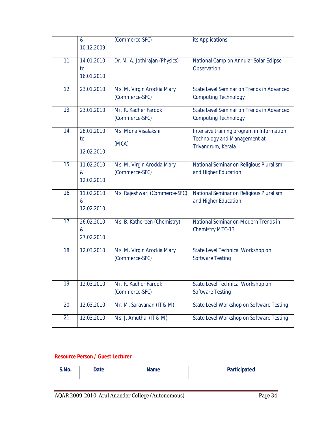|     | $\boldsymbol{\&}$<br>10.12.2009               | (Commerce-SFC)                               | its Applications                                                                                       |
|-----|-----------------------------------------------|----------------------------------------------|--------------------------------------------------------------------------------------------------------|
| 11. | 14.01.2010<br>to<br>16.01.2010                | Dr. M. A. Jothirajan (Physics)               | National Camp on Annular Solar Eclipse<br>Observation                                                  |
| 12. | 23.01.2010                                    | Ms. M. Virgin Arockia Mary<br>(Commerce-SFC) | State Level Seminar on Trends in Advanced<br><b>Computing Technology</b>                               |
| 13. | 23.01.2010                                    | Mr. R. Kadher Farook<br>(Commerce-SFC)       | State Level Seminar on Trends in Advanced<br><b>Computing Technology</b>                               |
| 14. | 28.01.2010<br>to<br>12.02.2010                | Ms. Mona Visalakshi<br>(MCA)                 | Intensive training program in Information<br><b>Technology and Management at</b><br>Trivandrum, Kerala |
| 15. | 11.02.2010<br>$\boldsymbol{\&}$<br>12.02.2010 | Ms. M. Virgin Arockia Mary<br>(Commerce-SFC) | National Seminar on Religious Pluralism<br>and Higher Education                                        |
| 16. | 11.02.2010<br>$\boldsymbol{\&}$<br>12.02.2010 | Ms. Rajeshwari (Commerce-SFC)                | National Seminar on Religious Pluralism<br>and Higher Education                                        |
| 17. | 26.02.2010<br>$\boldsymbol{\&}$<br>27.02.2010 | Ms. B. Kathereen (Chemistry)                 | National Seminar on Modern Trends in<br><b>Chemistry MTC-13</b>                                        |
| 18. | 12.03.2010                                    | Ms. M. Virgin Arockia Mary<br>(Commerce-SFC) | State Level Technical Workshop on<br><b>Software Testing</b>                                           |
| 19. | 12.03.2010                                    | Mr. R. Kadher Farook<br>(Commerce-SFC)       | State Level Technical Workshop on<br><b>Software Testing</b>                                           |
| 20. | 12.03.2010                                    | Mr. M. Saravanan (IT & M)                    | State Level Workshop on Software Testing                                                               |
| 21. | 12.03.2010                                    | Ms. J. Amutha (IT & M)                       | State Level Workshop on Software Testing                                                               |

# **Resource Person / Guest Lecturer**

| Mo. | Date | Name<br>______ | <b>Participated</b> |
|-----|------|----------------|---------------------|
|     |      |                |                     |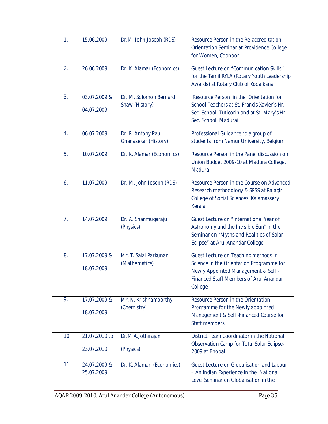| 1.  | 15.06.2009                  | Dr.M. John Joseph (RDS)                    | Resource Person in the Re-accreditation<br>Orientation Seminar at Providence College<br>for Women, Coonoor                                                                          |
|-----|-----------------------------|--------------------------------------------|-------------------------------------------------------------------------------------------------------------------------------------------------------------------------------------|
| 2.  | 26.06.2009                  | Dr. K. Alamar (Economics)                  | Guest Lecture on "Communication Skills"<br>for the Tamil RYLA (Rotary Youth Leadership<br>Awards) at Rotary Club of Kodaikanal                                                      |
| 3.  | 03.07.2009 &<br>04.07.2009  | Dr. M. Solomon Bernard<br>Shaw (History)   | Resource Person in the Orientation for<br>School Teachers at St. Francis Xavier's Hr.<br>Sec. School, Tuticorin and at St. Mary's Hr.<br>Sec. School, Madurai                       |
| 4.  | 06.07.2009                  | Dr. R. Antony Paul<br>Gnanasekar (History) | Professional Guidance to a group of<br>students from Namur University, Belgium                                                                                                      |
| 5.  | 10.07.2009                  | Dr. K. Alamar (Economics)                  | Resource Person in the Panel discussion on<br>Union Budget 2009-10 at Madura College,<br>Madurai                                                                                    |
| 6.  | 11.07.2009                  | Dr. M. John Joseph (RDS)                   | Resource Person in the Course on Advanced<br>Research methodology & SPSS at Rajagiri<br>College of Social Sciences, Kalamassery<br>Kerala                                           |
| 7.  | 14.07.2009                  | Dr. A. Shanmugaraju<br>(Physics)           | Guest Lecture on "International Year of<br>Astronomy and the Invisible Sun" in the<br>Seminar on "Myths and Realities of Solar<br>Eclipse" at Arul Anandar College                  |
| 8.  | 17.07.2009 &<br>18.07.2009  | Mr. T. Salai Parkunan<br>(Mathematics)     | Guest Lecture on Teaching methods in<br>Science in the Orientation Programme for<br>Newly Appointed Management & Self -<br><b>Financed Staff Members of Arul Anandar</b><br>College |
| 9.  | 17.07.2009 &<br>18.07.2009  | Mr. N. Krishnamoorthy<br>(Chemistry)       | Resource Person in the Orientation<br>Programme for the Newly appointed<br>Management & Self - Financed Course for<br><b>Staff members</b>                                          |
| 10. | 21.07.2010 to<br>23.07.2010 | Dr.M.A.Jothirajan<br>(Physics)             | District Team Coordinator in the National<br>Observation Camp for Total Solar Eclipse-<br>2009 at Bhopal                                                                            |
| 11. | 24.07.2009 &<br>25.07.2009  | Dr. K. Alamar (Economics)                  | Guest Lecture on Globalisation and Labour<br>- An Indian Experience in the National<br>Level Seminar on Globalisation in the                                                        |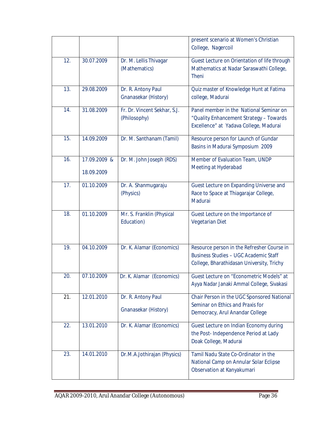|     |                            |                                              | present scenario at Women's Christian<br>College, Nagercoil                                                                             |
|-----|----------------------------|----------------------------------------------|-----------------------------------------------------------------------------------------------------------------------------------------|
| 12. | 30.07.2009                 | Dr. M. Lellis Thivagar<br>(Mathematics)      | Guest Lecture on Orientation of life through<br>Mathematics at Nadar Saraswathi College,<br><b>Theni</b>                                |
| 13. | 29.08.2009                 | Dr. R. Antony Paul<br>Gnanasekar (History)   | Quiz master of Knowledge Hunt at Fatima<br>college, Madurai                                                                             |
| 14. | 31.08.2009                 | Fr. Dr. Vincent Sekhar, S.J.<br>(Philosophy) | Panel member in the National Seminar on<br>"Quality Enhancement Strategy - Towards<br>Excellence" at Yadava College, Madurai            |
| 15. | 14.09.2009                 | Dr. M. Santhanam (Tamil)                     | Resource person for Launch of Gundar<br>Basins in Madurai Symposium 2009                                                                |
| 16. | 17.09.2009 &<br>18.09.2009 | Dr. M. John Joseph (RDS)                     | Member of Evaluation Team, UNDP<br>Meeting at Hyderabad                                                                                 |
| 17. | 01.10.2009                 | Dr. A. Shanmugaraju<br>(Physics)             | Guest Lecture on Expanding Universe and<br>Race to Space at Thiagarajar College,<br>Madurai                                             |
| 18. | 01.10.2009                 | Mr. S. Franklin (Physical<br>Education)      | Guest Lecture on the Importance of<br><b>Vegetarian Diet</b>                                                                            |
| 19. | 04.10.2009                 | Dr. K. Alamar (Economics)                    | Resource person in the Refresher Course in<br><b>Business Studies - UGC Academic Staff</b><br>College, Bharathidasan University, Trichy |
| 20. | 07.10.2009                 | Dr. K. Alamar (Economics)                    | Guest Lecture on "Econometric Models" at<br>Ayya Nadar Janaki Ammal College, Sivakasi                                                   |
| 21. | 12.01.2010                 | Dr. R. Antony Paul<br>Gnanasekar (History)   | Chair Person in the UGC Sponsored National<br>Seminar on Ethics and Praxis for<br>Democracy, Arul Anandar College                       |
| 22. | 13.01.2010                 | Dr. K. Alamar (Economics)                    | Guest Lecture on Indian Economy during<br>the Post-Independence Period at Lady<br>Doak College, Madurai                                 |
| 23. | 14.01.2010                 | Dr.M.A.Jothirajan (Physics)                  | Tamil Nadu State Co-Ordinator in the<br>National Camp on Annular Solar Eclipse<br>Observation at Kanyakumari                            |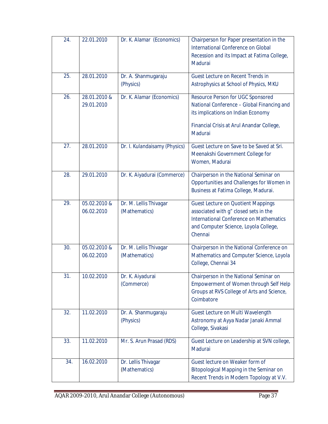| 24. | 22.01.2010                 | Dr. K. Alamar (Economics)               | Chairperson for Paper presentation in the<br>International Conference on Global<br>Recession and its Impact at Fatima College,<br>Madurai                                                |
|-----|----------------------------|-----------------------------------------|------------------------------------------------------------------------------------------------------------------------------------------------------------------------------------------|
| 25. | 28.01.2010                 | Dr. A. Shanmugaraju<br>(Physics)        | Guest Lecture on Recent Trends in<br>Astrophysics at School of Physics, MKU                                                                                                              |
| 26. | 28.01.2010 &<br>29.01.2010 | Dr. K. Alamar (Economics)               | Resource Person for UGC Sponsored<br>National Conference - Global Financing and<br>its implications on Indian Economy<br>Financial Crisis at Arul Anandar College,<br>Madurai            |
| 27. | 28.01.2010                 | Dr. I. Kulandaisamy (Physics)           | Guest Lecture on Save to be Saved at Sri.<br>Meenakshi Government College for<br>Women, Madurai                                                                                          |
| 28. | 29.01.2010                 | Dr. K. Aiyadurai (Commerce)             | Chairperson in the National Seminar on<br>Opportunities and Challenges for Women in<br>Business at Fatima College, Madurai.                                                              |
| 29. | 05.02.2010 &<br>06.02.2010 | Dr. M. Lellis Thivagar<br>(Mathematics) | <b>Guest Lecture on Quotient Mappings</b><br>associated with g" closed sets in the<br><b>International Conference on Mathematics</b><br>and Computer Science, Loyola College,<br>Chennai |
| 30. | 05.02.2010 &<br>06.02.2010 | Dr. M. Lellis Thivagar<br>(Mathematics) | Chairperson in the National Conference on<br>Mathematics and Computer Science, Loyola<br>College, Chennai 34                                                                             |
| 31. | 10.02.2010                 | Dr. K. Aiyadurai<br>(Commerce)          | Chairperson in the National Seminar on<br>Empowerment of Women through Self Help<br>Groups at RVS College of Arts and Science,<br>Coimbatore                                             |
| 32. | 11.02.2010                 | Dr. A. Shanmugaraju<br>(Physics)        | Guest Lecture on Multi Wavelength<br>Astronomy at Ayya Nadar Janaki Ammal<br>College, Sivakasi                                                                                           |
| 33. | 11.02.2010                 | Mr. S. Arun Prasad (RDS)                | Guest Lecture on Leadership at SVN college,<br>Madurai                                                                                                                                   |
| 34. | 16.02.2010                 | Dr. Lellis Thivagar<br>(Mathematics)    | Guest lecture on Weaker form of<br>Bitopological Mapping in the Seminar on<br>Recent Trends in Modern Topology at V.V.                                                                   |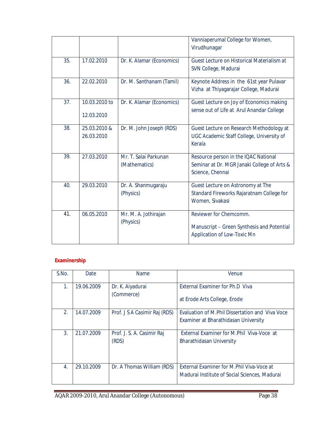|     |                             |                                        | Vanniaperumal College for Women,<br>Virudhunagar                                                           |
|-----|-----------------------------|----------------------------------------|------------------------------------------------------------------------------------------------------------|
| 35. | 17.02.2010                  | Dr. K. Alamar (Economics)              | Guest Lecture on Historical Materialism at<br>SVN College, Madurai                                         |
| 36. | 22.02.2010                  | Dr. M. Santhanam (Tamil)               | Keynote Address in the 61st year Pulavar<br>Vizha at Thiyagarajar College, Madurai                         |
| 37. | 10.03.2010 to<br>12.03.2010 | Dr. K. Alamar (Economics)              | Guest Lecture on Joy of Economics making<br>sense out of Life at Arul Anandar College                      |
| 38. | 25.03.2010 &<br>26.03.2010  | Dr. M. John Joseph (RDS)               | Guest Lecture on Research Methodology at<br>UGC Academic Staff College, University of<br>Kerala            |
| 39. | 27.03.2010                  | Mr. T. Salai Parkunan<br>(Mathematics) | Resource person in the IQAC National<br>Seminar at Dr. MGR Janaki College of Arts &<br>Science, Chennai    |
| 40. | 29.03.2010                  | Dr. A. Shanmugaraju<br>(Physics)       | Guest Lecture on Astronomy at The<br>Standard Fireworks Rajaratnam College for<br>Women, Sivakasi          |
| 41. | 06.05.2010                  | Mr. M. A. Jothirajan<br>(Physics)      | Reviewer for Chemcomm.<br>Manuscript - Green Synthesis and Potential<br><b>Application of Low-Toxic Mn</b> |

# **Examinership**

| S.No.            | Date       | <b>Name</b>                   | Venue                                            |
|------------------|------------|-------------------------------|--------------------------------------------------|
| 1.               | 19.06.2009 | Dr. K. Aiyadurai              | External Examiner for Ph.D Viva                  |
|                  |            | (Commerce)                    | at Erode Arts College, Erode                     |
| 2.               | 14.07.2009 | Prof. J S A Casimir Raj (RDS) | Evaluation of M. Phil Dissertation and Viva Voce |
|                  |            |                               | Examiner at Bharathidasan University             |
| 3.               | 21.07.2009 | Prof. J. S. A. Casimir Raj    | External Examiner for M.Phil Viva-Voce at        |
|                  |            | (RDS)                         | <b>Bharathidasan University</b>                  |
|                  |            |                               |                                                  |
| $\overline{4}$ . | 29.10.2009 | Dr. A Thomas William (RDS)    | External Examiner for M.Phil Viva-Voce at        |
|                  |            |                               | Madurai Institute of Social Sciences, Madurai    |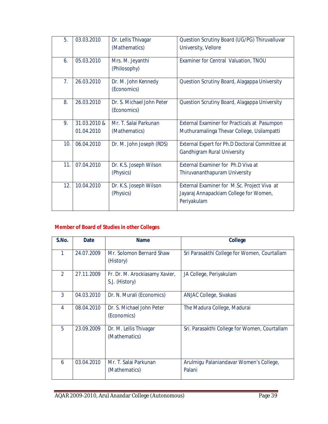| 5.             | 03.03.2010   | Dr. Lellis Thivagar<br>(Mathematics)     | Question Scrutiny Board (UG/PG) Thiruvalluvar<br>University, Vellore                                 |
|----------------|--------------|------------------------------------------|------------------------------------------------------------------------------------------------------|
| 6.             | 05.03.2010   | Mrs. M. Jeyanthi<br>(Philosophy)         | Examiner for Central Valuation, TNOU                                                                 |
| 7 <sub>1</sub> | 26.03.2010   | Dr. M. John Kennedy<br>(Economics)       | Question Scrutiny Board, Alagappa University                                                         |
| 8.             | 26.03.2010   | Dr. S. Michael John Peter<br>(Economics) | Question Scrutiny Board, Alagappa University                                                         |
| 9.             | 31.03.2010 & | Mr. T. Salai Parkunan                    | <b>External Examiner for Practicals at Pasumpon</b>                                                  |
|                | 01.04.2010   | (Mathematics)                            | Muthuramalinga Thevar College, Usilampatti                                                           |
| 10.            | 06.04.2010   | Dr. M. John Joseph (RDS)                 | External Expert for Ph.D Doctoral Committee at<br><b>Gandhigram Rural University</b>                 |
| 11.            | 07.04.2010   | Dr. K.S. Joseph Wilson<br>(Physics)      | External Examiner for Ph.D Viva at<br>Thiruvananthapuram University                                  |
| 12.            | 10.04.2010   | Dr. K.S. Joseph Wilson<br>(Physics)      | External Examiner for M.Sc. Project Viva at<br>Jayaraj Annapackiam College for Women,<br>Periyakulam |

# **Member of Board of Studies in other Colleges**

| S.No.          | <b>Date</b> | <b>Name</b>                                      | College                                           |
|----------------|-------------|--------------------------------------------------|---------------------------------------------------|
| 1              | 24.07.2009  | Mr. Solomon Bernard Shaw<br>(History)            | Sri Parasakthi College for Women, Courtallam      |
| $\overline{2}$ | 27.11.2009  | Fr. Dr. M. Arockiasamy Xavier,<br>S.J. (History) | JA College, Periyakulam                           |
| 3              | 04.03.2010  | Dr. N. Murali (Economics)                        | ANJAC College, Sivakasi                           |
| 4              | 08.04.2010  | Dr. S. Michael John Peter<br>(Economics)         | The Madura College, Madurai                       |
| 5              | 23.09.2009  | Dr. M. Lellis Thivagar<br>(Mathematics)          | Sri. Parasakthi College for Women, Courtallam     |
| 6              | 03.04.2010  | Mr. T. Salai Parkunan<br>(Mathematics)           | Arulmigu Palaniandavar Women's College,<br>Palani |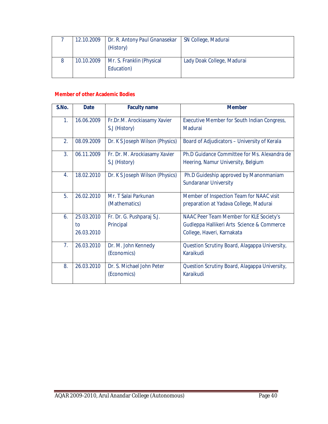| 12.10.2009 | Dr. R. Antony Paul Gnanasekar<br>(History) | SN College, Madurai        |
|------------|--------------------------------------------|----------------------------|
| 10.10.2009 | Mr. S. Franklin (Physical<br>Education)    | Lady Doak College, Madurai |

#### **Member of other Academic Bodies**

| S.No.          | <b>Date</b>                    | <b>Faculty name</b>                            | <b>Member</b>                                                                                                       |
|----------------|--------------------------------|------------------------------------------------|---------------------------------------------------------------------------------------------------------------------|
| 1 <sub>1</sub> | 16.06.2009                     | Fr.Dr.M. Arockiasamy Xavier<br>S.J (History)   | Executive Member for South Indian Congress,<br>Madurai                                                              |
| 2.             | 08.09.2009                     | Dr. K S Joseph Wilson (Physics)                | Board of Adjudicators - University of Kerala                                                                        |
| 3 <sub>1</sub> | 06.11.2009                     | Fr. Dr. M. Arockiasamy Xavier<br>S.J (History) | Ph.D Guidance Committee for Ms. Alexandra de<br>Heering, Namur University, Belgium                                  |
| 4.             | 18.02.2010                     | Dr. K S Joseph Wilson (Physics)                | Ph.D Guideship approved by Manonmaniam<br><b>Sundaranar University</b>                                              |
| 5.             | 26.02.2010                     | Mr. T Salai Parkunan<br>(Mathematics)          | Member of Inspection Team for NAAC visit<br>preparation at Yadava College, Madurai                                  |
| 6.             | 25.03.2010<br>to<br>26.03.2010 | Fr. Dr. G. Pushparaj S.J.<br>Principal         | NAAC Peer Team Member for KLE Society's<br>Gudleppa Hallikeri Arts Science & Commerce<br>College, Haveri, Karnakata |
| 7.             | 26.03.2010                     | Dr. M. John Kennedy<br>(Economics)             | Question Scrutiny Board, Alagappa University,<br>Karaikudi                                                          |
| 8.             | 26.03.2010                     | Dr. S. Michael John Peter<br>(Economics)       | Question Scrutiny Board, Alagappa University,<br>Karaikudi                                                          |